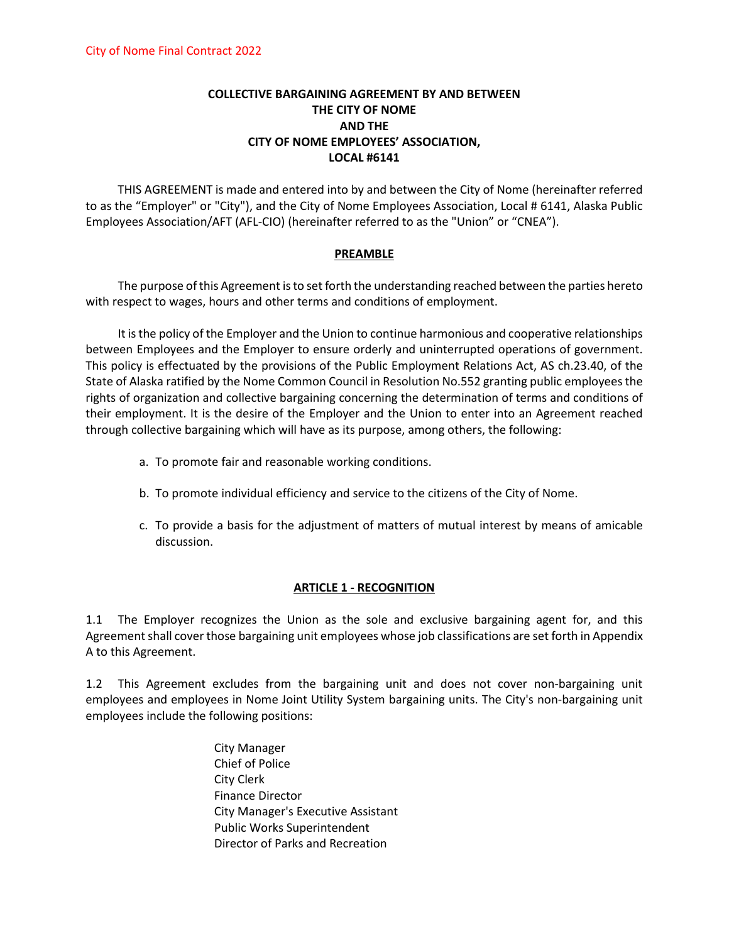## **COLLECTIVE BARGAINING AGREEMENT BY AND BETWEEN THE CITY OF NOME AND THE CITY OF NOME EMPLOYEES' ASSOCIATION, LOCAL #6141**

THIS AGREEMENT is made and entered into by and between the City of Nome (hereinafter referred to as the "Employer" or "City"), and the City of Nome Employees Association, Local # 6141, Alaska Public Employees Association/AFT (AFL-CIO) (hereinafter referred to as the "Union" or "CNEA").

### **PREAMBLE**

The purpose of this Agreement is to set forth the understanding reached between the parties hereto with respect to wages, hours and other terms and conditions of employment.

It is the policy of the Employer and the Union to continue harmonious and cooperative relationships between Employees and the Employer to ensure orderly and uninterrupted operations of government. This policy is effectuated by the provisions of the Public Employment Relations Act, AS ch.23.40, of the State of Alaska ratified by the Nome Common Council in Resolution No.552 granting public employees the rights of organization and collective bargaining concerning the determination of terms and conditions of their employment. It is the desire of the Employer and the Union to enter into an Agreement reached through collective bargaining which will have as its purpose, among others, the following:

- a. To promote fair and reasonable working conditions.
- b. To promote individual efficiency and service to the citizens of the City of Nome.
- c. To provide a basis for the adjustment of matters of mutual interest by means of amicable discussion.

### **ARTICLE 1 - RECOGNITION**

1.1 The Employer recognizes the Union as the sole and exclusive bargaining agent for, and this Agreement shall cover those bargaining unit employees whose job classifications are set forth in Appendix A to this Agreement.

1.2 This Agreement excludes from the bargaining unit and does not cover non-bargaining unit employees and employees in Nome Joint Utility System bargaining units. The City's non-bargaining unit employees include the following positions:

> City Manager Chief of Police City Clerk Finance Director City Manager's Executive Assistant Public Works Superintendent Director of Parks and Recreation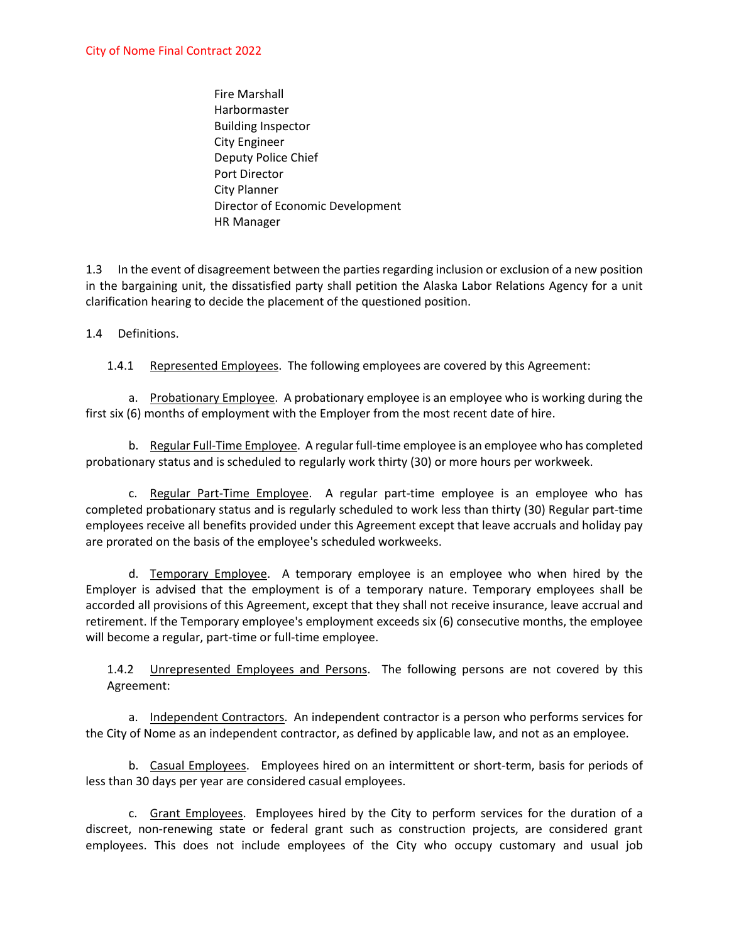Fire Marshall **Harbormaster** Building Inspector City Engineer Deputy Police Chief Port Director City Planner Director of Economic Development HR Manager

1.3 In the event of disagreement between the parties regarding inclusion or exclusion of a new position in the bargaining unit, the dissatisfied party shall petition the Alaska Labor Relations Agency for a unit clarification hearing to decide the placement of the questioned position.

### 1.4 Definitions.

1.4.1 Represented Employees. The following employees are covered by this Agreement:

a. Probationary Employee. A probationary employee is an employee who is working during the first six (6) months of employment with the Employer from the most recent date of hire.

b. Regular Full-Time Employee. A regular full-time employee is an employee who has completed probationary status and is scheduled to regularly work thirty (30) or more hours per workweek.

c. Regular Part-Time Employee. A regular part-time employee is an employee who has completed probationary status and is regularly scheduled to work less than thirty (30) Regular part-time employees receive all benefits provided under this Agreement except that leave accruals and holiday pay are prorated on the basis of the employee's scheduled workweeks.

d. Temporary Employee. A temporary employee is an employee who when hired by the Employer is advised that the employment is of a temporary nature. Temporary employees shall be accorded all provisions of this Agreement, except that they shall not receive insurance, leave accrual and retirement. If the Temporary employee's employment exceeds six (6) consecutive months, the employee will become a regular, part-time or full-time employee.

1.4.2 Unrepresented Employees and Persons. The following persons are not covered by this Agreement:

a. Independent Contractors. An independent contractor is a person who performs services for the City of Nome as an independent contractor, as defined by applicable law, and not as an employee.

b. Casual Employees. Employees hired on an intermittent or short-term, basis for periods of less than 30 days per year are considered casual employees.

c. Grant Employees. Employees hired by the City to perform services for the duration of a discreet, non-renewing state or federal grant such as construction projects, are considered grant employees. This does not include employees of the City who occupy customary and usual job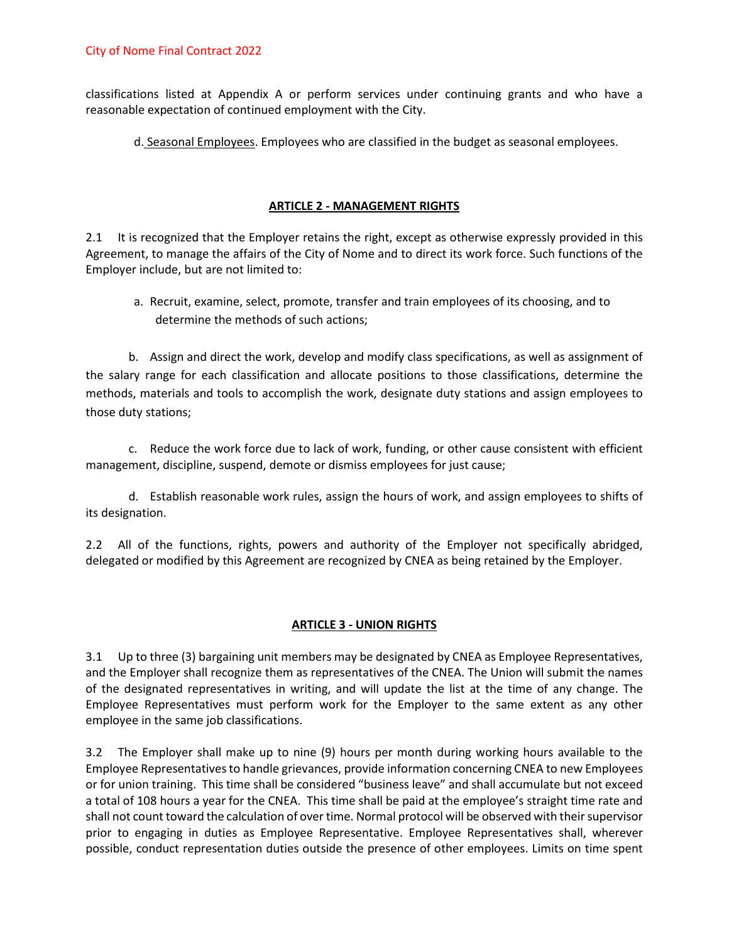classifications listed at Appendix A or perform services under continuing grants and who have a reasonable expectation of continued employment with the City.

d. Seasonal Employees. Employees who are classified in the budget as seasonal employees.

## **ARTICLE 2 - MANAGEMENT RIGHTS**

2.1 It is recognized that the Employer retains the right, except as otherwise expressly provided in this Agreement, to manage the affairs of the City of Nome and to direct its work force. Such functions of the Employer include, but are not limited to:

a. Recruit, examine, select, promote, transfer and train employees of its choosing, and to determine the methods of such actions;

b. Assign and direct the work, develop and modify class specifications, as well as assignment of the salary range for each classification and allocate positions to those classifications, determine the methods, materials and tools to accomplish the work, designate duty stations and assign employees to those duty stations;

c. Reduce the work force due to lack of work, funding, or other cause consistent with efficient management, discipline, suspend, demote or dismiss employees for just cause;

d. Establish reasonable work rules, assign the hours of work, and assign employees to shifts of its designation.

2.2 All of the functions, rights, powers and authority of the Employer not specifically abridged, delegated or modified by this Agreement are recognized by CNEA as being retained by the Employer.

## **ARTICLE 3 - UNION RIGHTS**

3.1 Up to three (3) bargaining unit members may be designated by CNEA as Employee Representatives, and the Employer shall recognize them as representatives of the CNEA. The Union will submit the names of the designated representatives in writing, and will update the list at the time of any change. The Employee Representatives must perform work for the Employer to the same extent as any other employee in the same job classifications.

3.2 The Employer shall make up to nine (9) hours per month during working hours available to the Employee Representatives to handle grievances, provide information concerning CNEA to new Employees or for union training. This time shall be considered "business leave" and shall accumulate but not exceed a total of 108 hours a year for the CNEA. This time shall be paid at the employee's straight time rate and shall not count toward the calculation of over time. Normal protocol will be observed with their supervisor prior to engaging in duties as Employee Representative. Employee Representatives shall, wherever possible, conduct representation duties outside the presence of other employees. Limits on time spent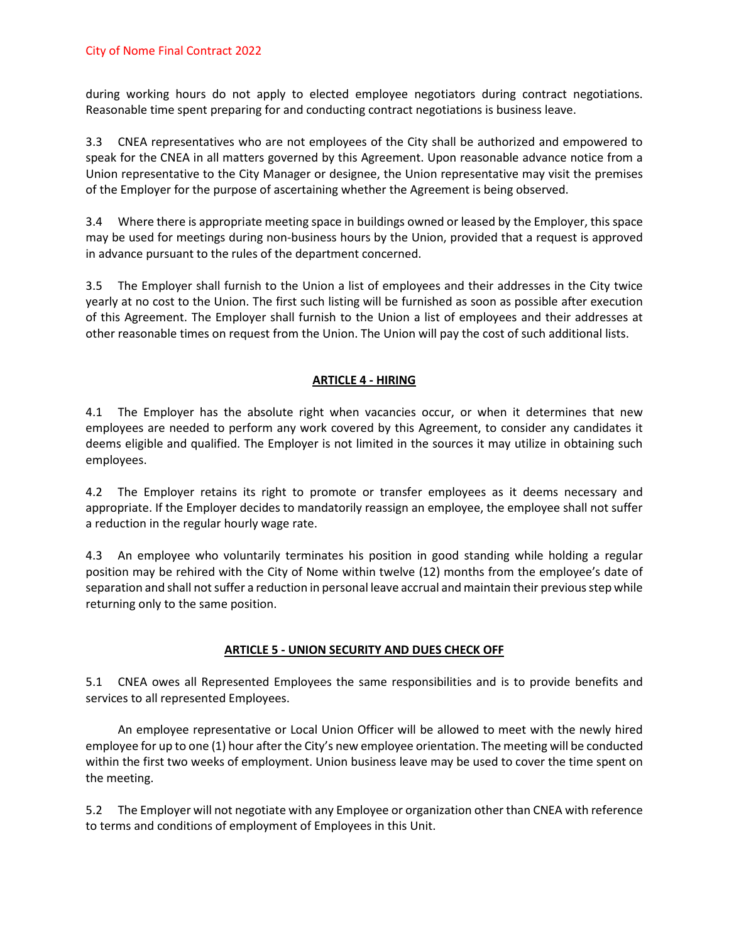during working hours do not apply to elected employee negotiators during contract negotiations. Reasonable time spent preparing for and conducting contract negotiations is business leave.

3.3 CNEA representatives who are not employees of the City shall be authorized and empowered to speak for the CNEA in all matters governed by this Agreement. Upon reasonable advance notice from a Union representative to the City Manager or designee, the Union representative may visit the premises of the Employer for the purpose of ascertaining whether the Agreement is being observed.

3.4 Where there is appropriate meeting space in buildings owned or leased by the Employer, this space may be used for meetings during non-business hours by the Union, provided that a request is approved in advance pursuant to the rules of the department concerned.

3.5 The Employer shall furnish to the Union a list of employees and their addresses in the City twice yearly at no cost to the Union. The first such listing will be furnished as soon as possible after execution of this Agreement. The Employer shall furnish to the Union a list of employees and their addresses at other reasonable times on request from the Union. The Union will pay the cost of such additional lists.

## **ARTICLE 4 - HIRING**

4.1 The Employer has the absolute right when vacancies occur, or when it determines that new employees are needed to perform any work covered by this Agreement, to consider any candidates it deems eligible and qualified. The Employer is not limited in the sources it may utilize in obtaining such employees.

4.2 The Employer retains its right to promote or transfer employees as it deems necessary and appropriate. If the Employer decides to mandatorily reassign an employee, the employee shall not suffer a reduction in the regular hourly wage rate.

4.3 An employee who voluntarily terminates his position in good standing while holding a regular position may be rehired with the City of Nome within twelve (12) months from the employee's date of separation and shall not suffer a reduction in personal leave accrual and maintain their previous step while returning only to the same position.

### **ARTICLE 5 - UNION SECURITY AND DUES CHECK OFF**

5.1 CNEA owes all Represented Employees the same responsibilities and is to provide benefits and services to all represented Employees.

An employee representative or Local Union Officer will be allowed to meet with the newly hired employee for up to one (1) hour after the City's new employee orientation. The meeting will be conducted within the first two weeks of employment. Union business leave may be used to cover the time spent on the meeting.

5.2 The Employer will not negotiate with any Employee or organization other than CNEA with reference to terms and conditions of employment of Employees in this Unit.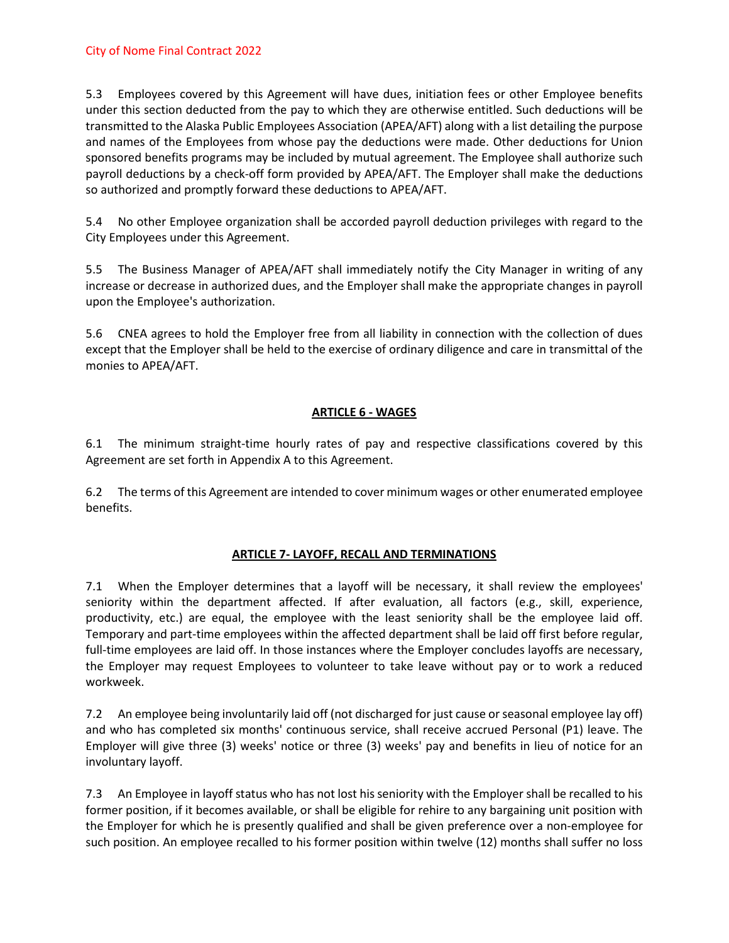5.3 Employees covered by this Agreement will have dues, initiation fees or other Employee benefits under this section deducted from the pay to which they are otherwise entitled. Such deductions will be transmitted to the Alaska Public Employees Association (APEA/AFT) along with a list detailing the purpose and names of the Employees from whose pay the deductions were made. Other deductions for Union sponsored benefits programs may be included by mutual agreement. The Employee shall authorize such payroll deductions by a check-off form provided by APEA/AFT. The Employer shall make the deductions so authorized and promptly forward these deductions to APEA/AFT.

5.4 No other Employee organization shall be accorded payroll deduction privileges with regard to the City Employees under this Agreement.

5.5 The Business Manager of APEA/AFT shall immediately notify the City Manager in writing of any increase or decrease in authorized dues, and the Employer shall make the appropriate changes in payroll upon the Employee's authorization.

5.6 CNEA agrees to hold the Employer free from all liability in connection with the collection of dues except that the Employer shall be held to the exercise of ordinary diligence and care in transmittal of the monies to APEA/AFT.

## **ARTICLE 6 - WAGES**

6.1 The minimum straight-time hourly rates of pay and respective classifications covered by this Agreement are set forth in Appendix A to this Agreement.

6.2 The terms of this Agreement are intended to cover minimum wages or other enumerated employee benefits.

## **ARTICLE 7- LAYOFF, RECALL AND TERMINATIONS**

7.1 When the Employer determines that a layoff will be necessary, it shall review the employees' seniority within the department affected. If after evaluation, all factors (e.g., skill, experience, productivity, etc.) are equal, the employee with the least seniority shall be the employee laid off. Temporary and part-time employees within the affected department shall be laid off first before regular, full-time employees are laid off. In those instances where the Employer concludes layoffs are necessary, the Employer may request Employees to volunteer to take leave without pay or to work a reduced workweek.

7.2 An employee being involuntarily laid off (not discharged for just cause or seasonal employee lay off) and who has completed six months' continuous service, shall receive accrued Personal (P1) leave. The Employer will give three (3) weeks' notice or three (3) weeks' pay and benefits in lieu of notice for an involuntary layoff.

7.3 An Employee in layoff status who has not lost his seniority with the Employer shall be recalled to his former position, if it becomes available, or shall be eligible for rehire to any bargaining unit position with the Employer for which he is presently qualified and shall be given preference over a non-employee for such position. An employee recalled to his former position within twelve (12) months shall suffer no loss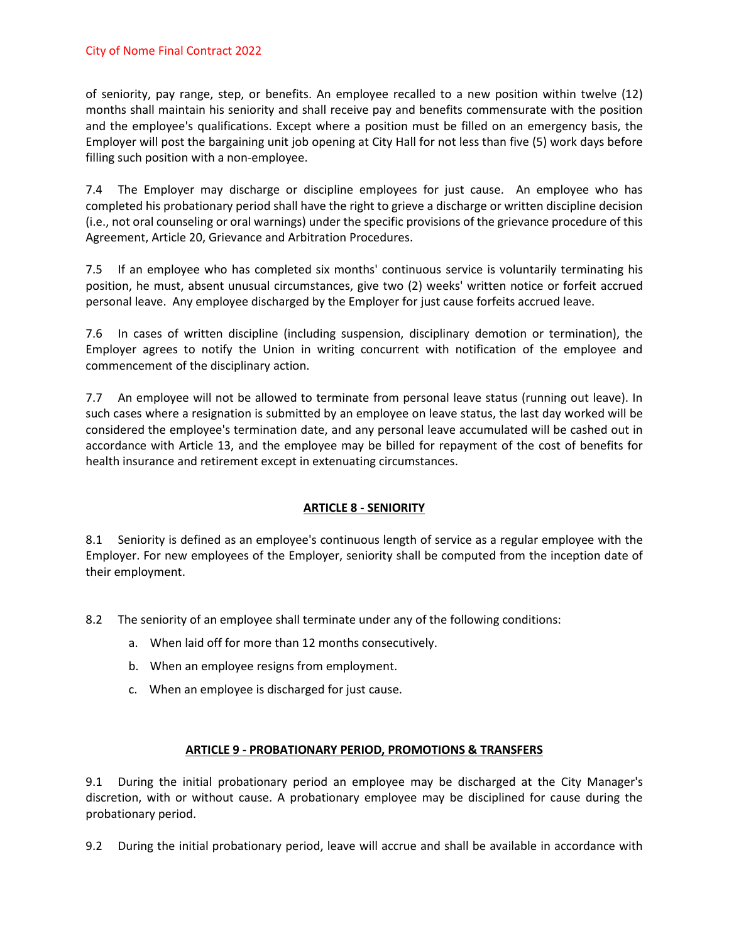### City of Nome Final Contract 2022

of seniority, pay range, step, or benefits. An employee recalled to a new position within twelve (12) months shall maintain his seniority and shall receive pay and benefits commensurate with the position and the employee's qualifications. Except where a position must be filled on an emergency basis, the Employer will post the bargaining unit job opening at City Hall for not less than five (5) work days before filling such position with a non-employee.

7.4 The Employer may discharge or discipline employees for just cause. An employee who has completed his probationary period shall have the right to grieve a discharge or written discipline decision (i.e., not oral counseling or oral warnings) under the specific provisions of the grievance procedure of this Agreement, Article 20, Grievance and Arbitration Procedures.

7.5 If an employee who has completed six months' continuous service is voluntarily terminating his position, he must, absent unusual circumstances, give two (2) weeks' written notice or forfeit accrued personal leave. Any employee discharged by the Employer for just cause forfeits accrued leave.

7.6 In cases of written discipline (including suspension, disciplinary demotion or termination), the Employer agrees to notify the Union in writing concurrent with notification of the employee and commencement of the disciplinary action.

7.7 An employee will not be allowed to terminate from personal leave status (running out leave). In such cases where a resignation is submitted by an employee on leave status, the last day worked will be considered the employee's termination date, and any personal leave accumulated will be cashed out in accordance with Article 13, and the employee may be billed for repayment of the cost of benefits for health insurance and retirement except in extenuating circumstances.

### **ARTICLE 8 - SENIORITY**

8.1 Seniority is defined as an employee's continuous length of service as a regular employee with the Employer. For new employees of the Employer, seniority shall be computed from the inception date of their employment.

8.2 The seniority of an employee shall terminate under any of the following conditions:

- a. When laid off for more than 12 months consecutively.
- b. When an employee resigns from employment.
- c. When an employee is discharged for just cause.

### **ARTICLE 9 - PROBATIONARY PERIOD, PROMOTIONS & TRANSFERS**

9.1 During the initial probationary period an employee may be discharged at the City Manager's discretion, with or without cause. A probationary employee may be disciplined for cause during the probationary period.

9.2 During the initial probationary period, leave will accrue and shall be available in accordance with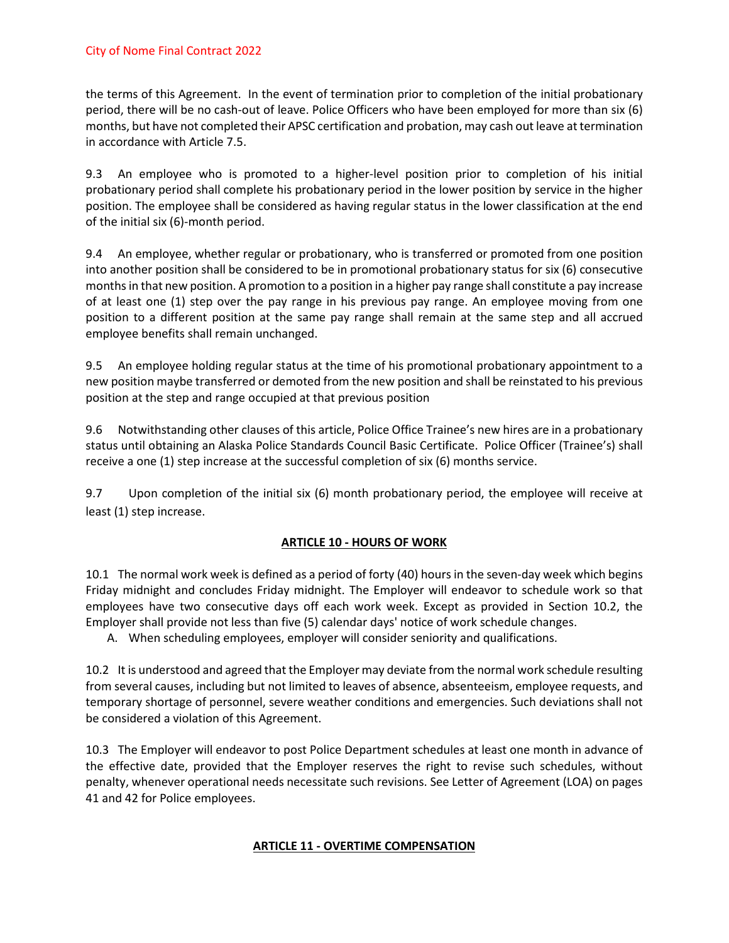the terms of this Agreement. In the event of termination prior to completion of the initial probationary period, there will be no cash-out of leave. Police Officers who have been employed for more than six (6) months, but have not completed their APSC certification and probation, may cash out leave at termination in accordance with Article 7.5.

9.3 An employee who is promoted to a higher-level position prior to completion of his initial probationary period shall complete his probationary period in the lower position by service in the higher position. The employee shall be considered as having regular status in the lower classification at the end of the initial six (6)-month period.

9.4 An employee, whether regular or probationary, who is transferred or promoted from one position into another position shall be considered to be in promotional probationary status for six (6) consecutive months in that new position. A promotion to a position in a higher pay range shall constitute a pay increase of at least one (1) step over the pay range in his previous pay range. An employee moving from one position to a different position at the same pay range shall remain at the same step and all accrued employee benefits shall remain unchanged.

9.5 An employee holding regular status at the time of his promotional probationary appointment to a new position maybe transferred or demoted from the new position and shall be reinstated to his previous position at the step and range occupied at that previous position

9.6 Notwithstanding other clauses of this article, Police Office Trainee's new hires are in a probationary status until obtaining an Alaska Police Standards Council Basic Certificate. Police Officer (Trainee's) shall receive a one (1) step increase at the successful completion of six (6) months service.

9.7 Upon completion of the initial six (6) month probationary period, the employee will receive at least (1) step increase.

### **ARTICLE 10 - HOURS OF WORK**

10.1 The normal work week is defined as a period of forty (40) hours in the seven-day week which begins Friday midnight and concludes Friday midnight. The Employer will endeavor to schedule work so that employees have two consecutive days off each work week. Except as provided in Section 10.2, the Employer shall provide not less than five (5) calendar days' notice of work schedule changes.

A. When scheduling employees, employer will consider seniority and qualifications.

10.2 It is understood and agreed that the Employer may deviate from the normal work schedule resulting from several causes, including but not limited to leaves of absence, absenteeism, employee requests, and temporary shortage of personnel, severe weather conditions and emergencies. Such deviations shall not be considered a violation of this Agreement.

10.3 The Employer will endeavor to post Police Department schedules at least one month in advance of the effective date, provided that the Employer reserves the right to revise such schedules, without penalty, whenever operational needs necessitate such revisions. See Letter of Agreement (LOA) on pages 41 and 42 for Police employees.

### **ARTICLE 11 - OVERTIME COMPENSATION**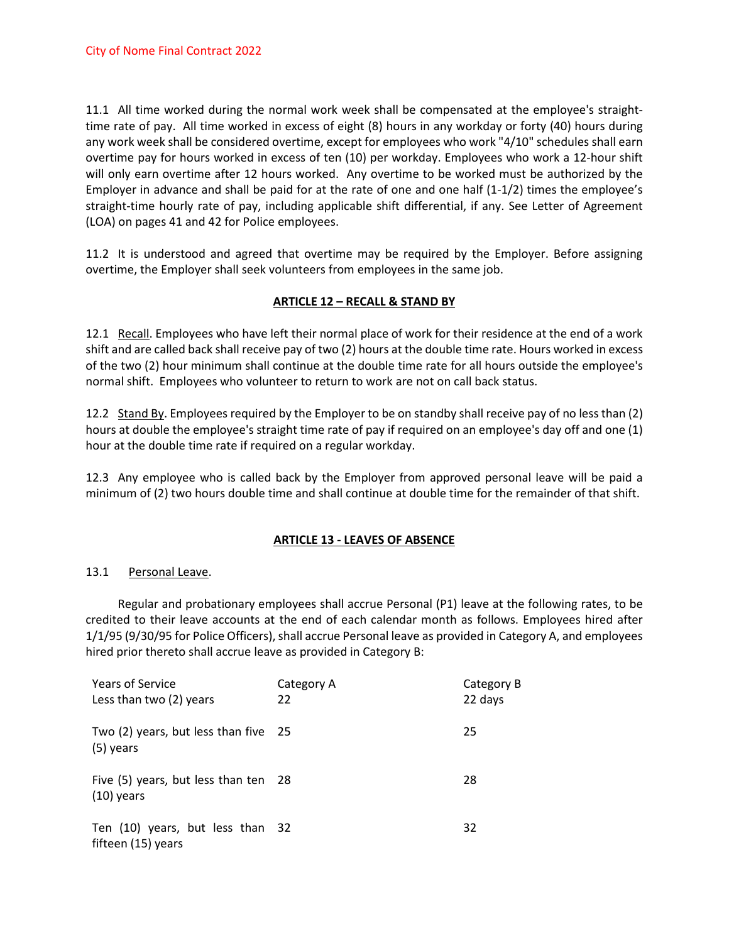11.1 All time worked during the normal work week shall be compensated at the employee's straighttime rate of pay. All time worked in excess of eight (8) hours in any workday or forty (40) hours during any work week shall be considered overtime, except for employees who work "4/10" schedules shall earn overtime pay for hours worked in excess of ten (10) per workday. Employees who work a 12-hour shift will only earn overtime after 12 hours worked. Any overtime to be worked must be authorized by the Employer in advance and shall be paid for at the rate of one and one half (1-1/2) times the employee's straight-time hourly rate of pay, including applicable shift differential, if any. See Letter of Agreement (LOA) on pages 41 and 42 for Police employees.

11.2 It is understood and agreed that overtime may be required by the Employer. Before assigning overtime, the Employer shall seek volunteers from employees in the same job.

### **ARTICLE 12 – RECALL & STAND BY**

12.1 Recall. Employees who have left their normal place of work for their residence at the end of a work shift and are called back shall receive pay of two (2) hours at the double time rate. Hours worked in excess of the two (2) hour minimum shall continue at the double time rate for all hours outside the employee's normal shift. Employees who volunteer to return to work are not on call back status.

12.2 Stand By. Employees required by the Employer to be on standby shall receive pay of no less than (2) hours at double the employee's straight time rate of pay if required on an employee's day off and one (1) hour at the double time rate if required on a regular workday.

12.3 Any employee who is called back by the Employer from approved personal leave will be paid a minimum of (2) two hours double time and shall continue at double time for the remainder of that shift.

### **ARTICLE 13 - LEAVES OF ABSENCE**

### 13.1 Personal Leave.

Regular and probationary employees shall accrue Personal (P1) leave at the following rates, to be credited to their leave accounts at the end of each calendar month as follows. Employees hired after 1/1/95 (9/30/95 for Police Officers), shall accrue Personal leave as provided in Category A, and employees hired prior thereto shall accrue leave as provided in Category B:

| <b>Years of Service</b><br>Less than two (2) years     | Category A<br>22 | Category B<br>22 days |
|--------------------------------------------------------|------------------|-----------------------|
| Two (2) years, but less than five 25<br>(5) years      |                  | 25                    |
| Five (5) years, but less than ten 28<br>$(10)$ years   |                  | 28                    |
| Ten (10) years, but less than 32<br>fifteen (15) years |                  | 32                    |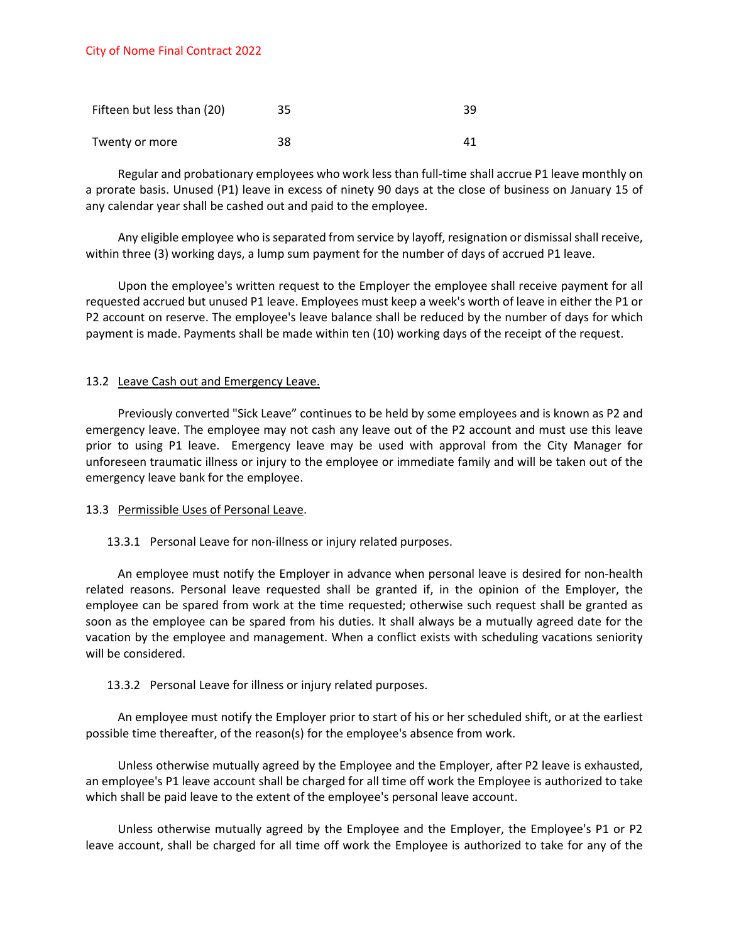| Fifteen but less than (20) | 35 | 39 |
|----------------------------|----|----|
| Twenty or more             | 38 |    |

Regular and probationary employees who work less than full-time shall accrue P1 leave monthly on a prorate basis. Unused (P1) leave in excess of ninety 90 days at the close of business on January 15 of any calendar year shall be cashed out and paid to the employee.

Any eligible employee who is separated from service by layoff, resignation or dismissal shall receive, within three (3) working days, a lump sum payment for the number of days of accrued P1 leave.

Upon the employee's written request to the Employer the employee shall receive payment for all requested accrued but unused P1 leave. Employees must keep a week's worth of leave in either the P1 or P2 account on reserve. The employee's leave balance shall be reduced by the number of days for which payment is made. Payments shall be made within ten (10) working days of the receipt of the request.

### 13.2 Leave Cash out and Emergency Leave.

Previously converted "Sick Leave" continues to be held by some employees and is known as P2 and emergency leave. The employee may not cash any leave out of the P2 account and must use this leave prior to using P1 leave. Emergency leave may be used with approval from the City Manager for unforeseen traumatic illness or injury to the employee or immediate family and will be taken out of the emergency leave bank for the employee.

#### 13.3 Permissible Uses of Personal Leave.

### 13.3.1 Personal Leave for non-illness or injury related purposes.

An employee must notify the Employer in advance when personal leave is desired for non-health related reasons. Personal leave requested shall be granted if, in the opinion of the Employer, the employee can be spared from work at the time requested; otherwise such request shall be granted as soon as the employee can be spared from his duties. It shall always be a mutually agreed date for the vacation by the employee and management. When a conflict exists with scheduling vacations seniority will be considered.

### 13.3.2 Personal Leave for illness or injury related purposes.

An employee must notify the Employer prior to start of his or her scheduled shift, or at the earliest possible time thereafter, of the reason(s) for the employee's absence from work.

Unless otherwise mutually agreed by the Employee and the Employer, after P2 leave is exhausted, an employee's P1 leave account shall be charged for all time off work the Employee is authorized to take which shall be paid leave to the extent of the employee's personal leave account.

Unless otherwise mutually agreed by the Employee and the Employer, the Employee's P1 or P2 leave account, shall be charged for all time off work the Employee is authorized to take for any of the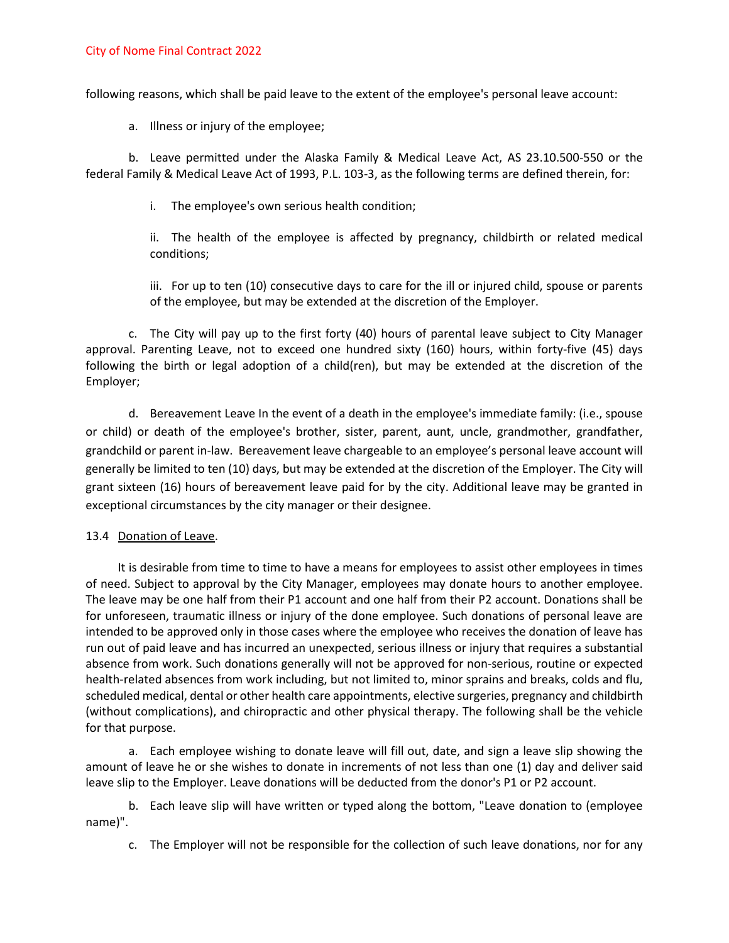following reasons, which shall be paid leave to the extent of the employee's personal leave account:

a. Illness or injury of the employee;

b. Leave permitted under the Alaska Family & Medical Leave Act, AS 23.10.500-550 or the federal Family & Medical Leave Act of 1993, P.L. 103-3, as the following terms are defined therein, for:

i. The employee's own serious health condition;

ii. The health of the employee is affected by pregnancy, childbirth or related medical conditions;

iii. For up to ten (10) consecutive days to care for the ill or injured child, spouse or parents of the employee, but may be extended at the discretion of the Employer.

c. The City will pay up to the first forty (40) hours of parental leave subject to City Manager approval. Parenting Leave, not to exceed one hundred sixty (160) hours, within forty-five (45) days following the birth or legal adoption of a child(ren), but may be extended at the discretion of the Employer;

d. Bereavement Leave In the event of a death in the employee's immediate family: (i.e., spouse or child) or death of the employee's brother, sister, parent, aunt, uncle, grandmother, grandfather, grandchild or parent in-law. Bereavement leave chargeable to an employee's personal leave account will generally be limited to ten (10) days, but may be extended at the discretion of the Employer. The City will grant sixteen (16) hours of bereavement leave paid for by the city. Additional leave may be granted in exceptional circumstances by the city manager or their designee.

#### 13.4 Donation of Leave.

It is desirable from time to time to have a means for employees to assist other employees in times of need. Subject to approval by the City Manager, employees may donate hours to another employee. The leave may be one half from their P1 account and one half from their P2 account. Donations shall be for unforeseen, traumatic illness or injury of the done employee. Such donations of personal leave are intended to be approved only in those cases where the employee who receives the donation of leave has run out of paid leave and has incurred an unexpected, serious illness or injury that requires a substantial absence from work. Such donations generally will not be approved for non-serious, routine or expected health-related absences from work including, but not limited to, minor sprains and breaks, colds and flu, scheduled medical, dental or other health care appointments, elective surgeries, pregnancy and childbirth (without complications), and chiropractic and other physical therapy. The following shall be the vehicle for that purpose.

a. Each employee wishing to donate leave will fill out, date, and sign a leave slip showing the amount of leave he or she wishes to donate in increments of not less than one (1) day and deliver said leave slip to the Employer. Leave donations will be deducted from the donor's P1 or P2 account.

b. Each leave slip will have written or typed along the bottom, "Leave donation to (employee name)".

c. The Employer will not be responsible for the collection of such leave donations, nor for any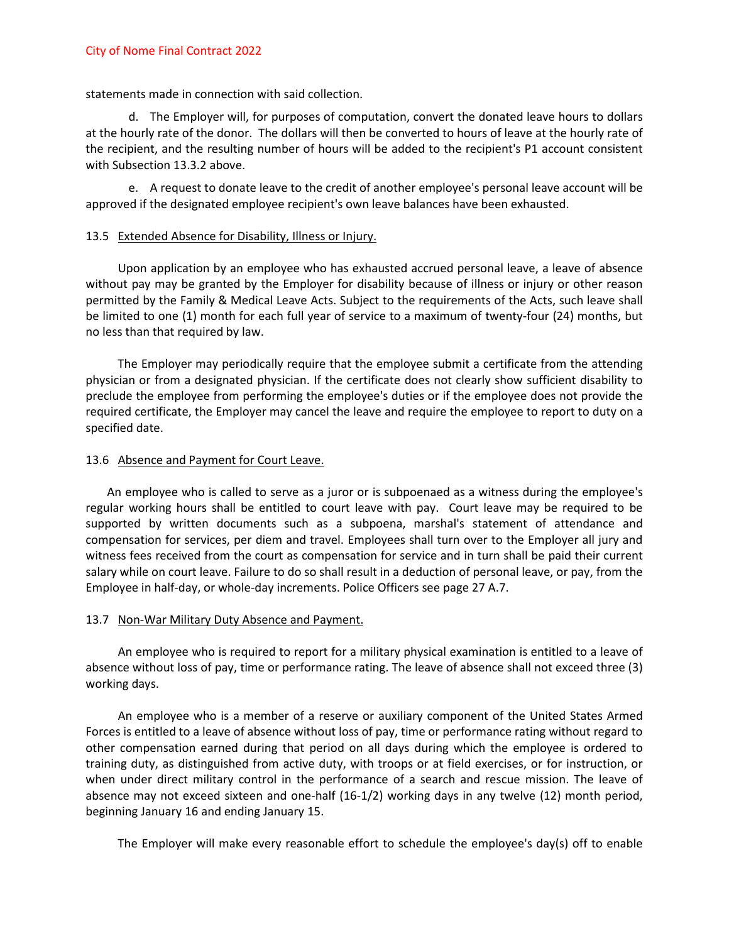statements made in connection with said collection.

d. The Employer will, for purposes of computation, convert the donated leave hours to dollars at the hourly rate of the donor. The dollars will then be converted to hours of leave at the hourly rate of the recipient, and the resulting number of hours will be added to the recipient's P1 account consistent with Subsection 13.3.2 above.

e. A request to donate leave to the credit of another employee's personal leave account will be approved if the designated employee recipient's own leave balances have been exhausted.

#### 13.5 Extended Absence for Disability, Illness or Injury.

Upon application by an employee who has exhausted accrued personal leave, a leave of absence without pay may be granted by the Employer for disability because of illness or injury or other reason permitted by the Family & Medical Leave Acts. Subject to the requirements of the Acts, such leave shall be limited to one (1) month for each full year of service to a maximum of twenty-four (24) months, but no less than that required by law.

The Employer may periodically require that the employee submit a certificate from the attending physician or from a designated physician. If the certificate does not clearly show sufficient disability to preclude the employee from performing the employee's duties or if the employee does not provide the required certificate, the Employer may cancel the leave and require the employee to report to duty on a specified date.

#### 13.6 Absence and Payment for Court Leave.

An employee who is called to serve as a juror or is subpoenaed as a witness during the employee's regular working hours shall be entitled to court leave with pay. Court leave may be required to be supported by written documents such as a subpoena, marshal's statement of attendance and compensation for services, per diem and travel. Employees shall turn over to the Employer all jury and witness fees received from the court as compensation for service and in turn shall be paid their current salary while on court leave. Failure to do so shall result in a deduction of personal leave, or pay, from the Employee in half-day, or whole-day increments. Police Officers see page 27 A.7.

#### 13.7 Non-War Military Duty Absence and Payment.

An employee who is required to report for a military physical examination is entitled to a leave of absence without loss of pay, time or performance rating. The leave of absence shall not exceed three (3) working days.

An employee who is a member of a reserve or auxiliary component of the United States Armed Forces is entitled to a leave of absence without loss of pay, time or performance rating without regard to other compensation earned during that period on all days during which the employee is ordered to training duty, as distinguished from active duty, with troops or at field exercises, or for instruction, or when under direct military control in the performance of a search and rescue mission. The leave of absence may not exceed sixteen and one-half (16-1/2) working days in any twelve (12) month period, beginning January 16 and ending January 15.

The Employer will make every reasonable effort to schedule the employee's day(s) off to enable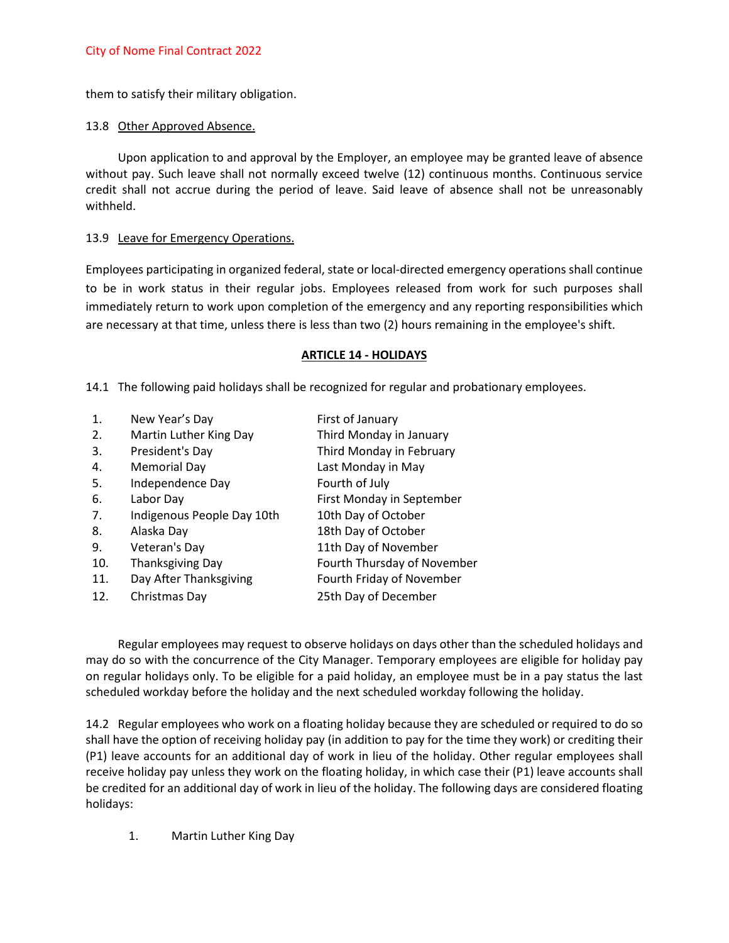them to satisfy their military obligation.

### 13.8 Other Approved Absence.

Upon application to and approval by the Employer, an employee may be granted leave of absence without pay. Such leave shall not normally exceed twelve (12) continuous months. Continuous service credit shall not accrue during the period of leave. Said leave of absence shall not be unreasonably withheld.

## 13.9 Leave for Emergency Operations.

Employees participating in organized federal, state or local-directed emergency operations shall continue to be in work status in their regular jobs. Employees released from work for such purposes shall immediately return to work upon completion of the emergency and any reporting responsibilities which are necessary at that time, unless there is less than two (2) hours remaining in the employee's shift.

### **ARTICLE 14 - HOLIDAYS**

14.1 The following paid holidays shall be recognized for regular and probationary employees.

| New Year's Day             | First of January            |
|----------------------------|-----------------------------|
| Martin Luther King Day     | Third Monday in January     |
| President's Day            | Third Monday in February    |
| <b>Memorial Day</b>        | Last Monday in May          |
| Independence Day           | Fourth of July              |
| Labor Day                  | First Monday in September   |
| Indigenous People Day 10th | 10th Day of October         |
| Alaska Day                 | 18th Day of October         |
| Veteran's Day              | 11th Day of November        |
| Thanksgiving Day           | Fourth Thursday of November |
| Day After Thanksgiving     | Fourth Friday of November   |
| Christmas Day              | 25th Day of December        |
|                            |                             |

Regular employees may request to observe holidays on days other than the scheduled holidays and may do so with the concurrence of the City Manager. Temporary employees are eligible for holiday pay on regular holidays only. To be eligible for a paid holiday, an employee must be in a pay status the last scheduled workday before the holiday and the next scheduled workday following the holiday.

14.2 Regular employees who work on a floating holiday because they are scheduled or required to do so shall have the option of receiving holiday pay (in addition to pay for the time they work) or crediting their (P1) leave accounts for an additional day of work in lieu of the holiday. Other regular employees shall receive holiday pay unless they work on the floating holiday, in which case their (P1) leave accounts shall be credited for an additional day of work in lieu of the holiday. The following days are considered floating holidays:

1. Martin Luther King Day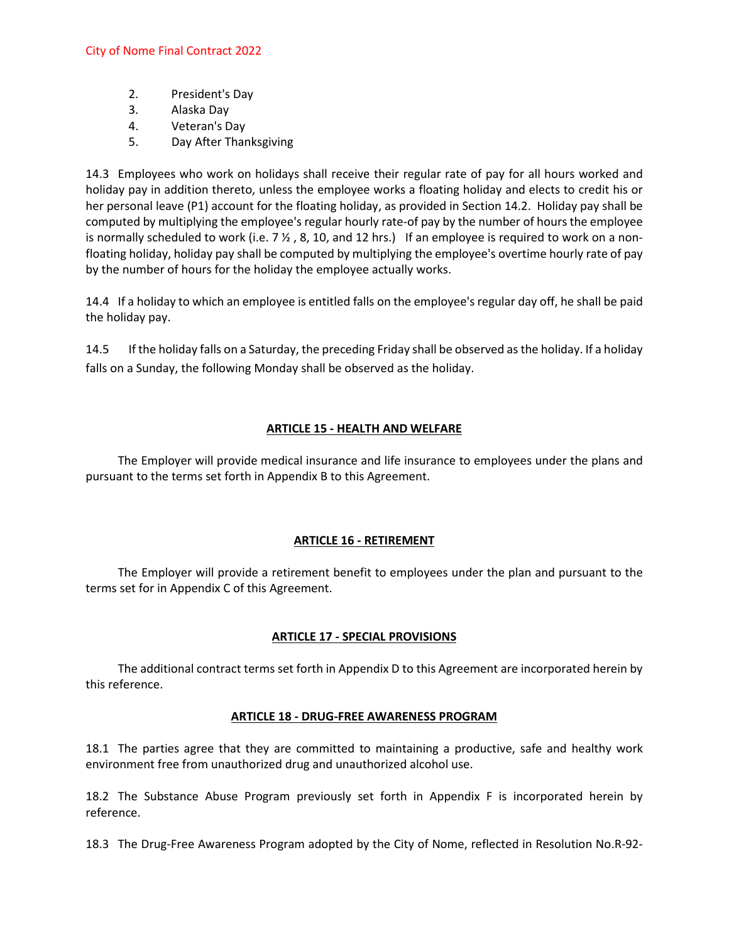- 2. President's Day
- 3. Alaska Day
- 4. Veteran's Day
- 5. Day After Thanksgiving

14.3 Employees who work on holidays shall receive their regular rate of pay for all hours worked and holiday pay in addition thereto, unless the employee works a floating holiday and elects to credit his or her personal leave (P1) account for the floating holiday, as provided in Section 14.2. Holiday pay shall be computed by multiplying the employee's regular hourly rate-of pay by the number of hours the employee is normally scheduled to work (i.e.  $7\frac{1}{2}$ , 8, 10, and 12 hrs.) If an employee is required to work on a nonfloating holiday, holiday pay shall be computed by multiplying the employee's overtime hourly rate of pay by the number of hours for the holiday the employee actually works.

14.4 If a holiday to which an employee is entitled falls on the employee's regular day off, he shall be paid the holiday pay.

14.5 If the holiday falls on a Saturday, the preceding Friday shall be observed as the holiday. If a holiday falls on a Sunday, the following Monday shall be observed as the holiday.

### **ARTICLE 15 - HEALTH AND WELFARE**

The Employer will provide medical insurance and life insurance to employees under the plans and pursuant to the terms set forth in Appendix B to this Agreement.

### **ARTICLE 16 - RETIREMENT**

The Employer will provide a retirement benefit to employees under the plan and pursuant to the terms set for in Appendix C of this Agreement.

### **ARTICLE 17 - SPECIAL PROVISIONS**

The additional contract terms set forth in Appendix D to this Agreement are incorporated herein by this reference.

### **ARTICLE 18 - DRUG-FREE AWARENESS PROGRAM**

18.1 The parties agree that they are committed to maintaining a productive, safe and healthy work environment free from unauthorized drug and unauthorized alcohol use.

18.2 The Substance Abuse Program previously set forth in Appendix F is incorporated herein by reference.

18.3 The Drug-Free Awareness Program adopted by the City of Nome, reflected in Resolution No.R-92-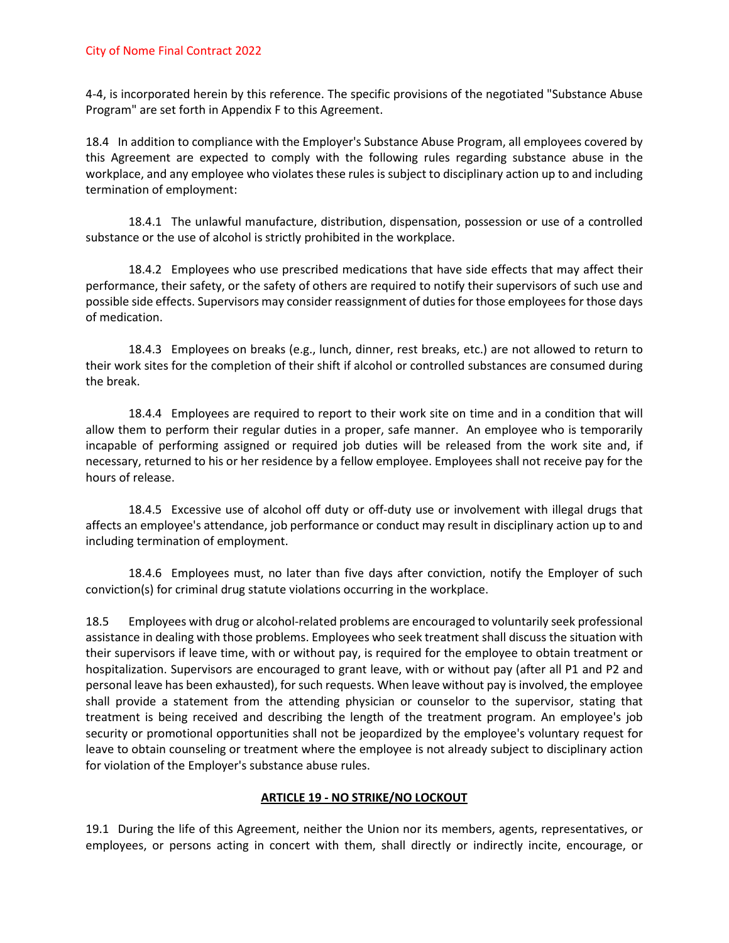4-4, is incorporated herein by this reference. The specific provisions of the negotiated "Substance Abuse Program" are set forth in Appendix F to this Agreement.

18.4 In addition to compliance with the Employer's Substance Abuse Program, all employees covered by this Agreement are expected to comply with the following rules regarding substance abuse in the workplace, and any employee who violates these rules is subject to disciplinary action up to and including termination of employment:

18.4.1 The unlawful manufacture, distribution, dispensation, possession or use of a controlled substance or the use of alcohol is strictly prohibited in the workplace.

18.4.2 Employees who use prescribed medications that have side effects that may affect their performance, their safety, or the safety of others are required to notify their supervisors of such use and possible side effects. Supervisors may consider reassignment of duties for those employees for those days of medication.

18.4.3 Employees on breaks (e.g., lunch, dinner, rest breaks, etc.) are not allowed to return to their work sites for the completion of their shift if alcohol or controlled substances are consumed during the break.

18.4.4 Employees are required to report to their work site on time and in a condition that will allow them to perform their regular duties in a proper, safe manner. An employee who is temporarily incapable of performing assigned or required job duties will be released from the work site and, if necessary, returned to his or her residence by a fellow employee. Employees shall not receive pay for the hours of release.

18.4.5 Excessive use of alcohol off duty or off-duty use or involvement with illegal drugs that affects an employee's attendance, job performance or conduct may result in disciplinary action up to and including termination of employment.

18.4.6 Employees must, no later than five days after conviction, notify the Employer of such conviction(s) for criminal drug statute violations occurring in the workplace.

18.5 Employees with drug or alcohol-related problems are encouraged to voluntarily seek professional assistance in dealing with those problems. Employees who seek treatment shall discuss the situation with their supervisors if leave time, with or without pay, is required for the employee to obtain treatment or hospitalization. Supervisors are encouraged to grant leave, with or without pay (after all P1 and P2 and personal leave has been exhausted), for such requests. When leave without pay is involved, the employee shall provide a statement from the attending physician or counselor to the supervisor, stating that treatment is being received and describing the length of the treatment program. An employee's job security or promotional opportunities shall not be jeopardized by the employee's voluntary request for leave to obtain counseling or treatment where the employee is not already subject to disciplinary action for violation of the Employer's substance abuse rules.

### **ARTICLE 19 - NO STRIKE/NO LOCKOUT**

19.1 During the life of this Agreement, neither the Union nor its members, agents, representatives, or employees, or persons acting in concert with them, shall directly or indirectly incite, encourage, or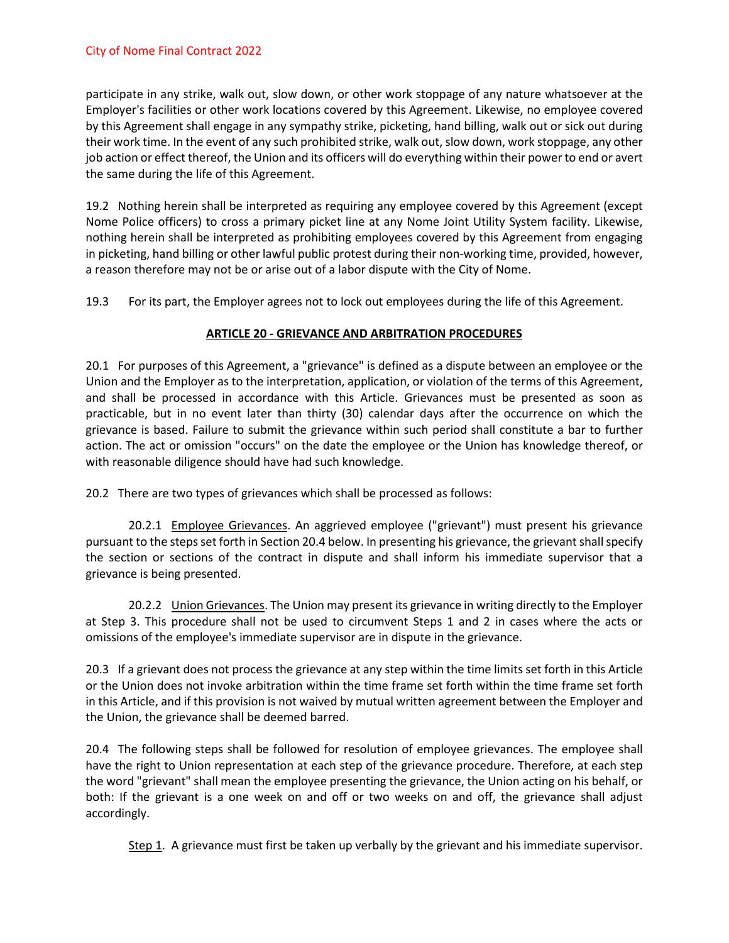participate in any strike, walk out, slow down, or other work stoppage of any nature whatsoever at the Employer's facilities or other work locations covered by this Agreement. Likewise, no employee covered by this Agreement shall engage in any sympathy strike, picketing, hand billing, walk out or sick out during their work time. In the event of any such prohibited strike, walk out, slow down, work stoppage, any other job action or effect thereof, the Union and its officers will do everything within their power to end or avert the same during the life of this Agreement.

19.2 Nothing herein shall be interpreted as requiring any employee covered by this Agreement (except Nome Police officers) to cross a primary picket line at any Nome Joint Utility System facility. Likewise, nothing herein shall be interpreted as prohibiting employees covered by this Agreement from engaging in picketing, hand billing or other lawful public protest during their non-working time, provided, however, a reason therefore may not be or arise out of a labor dispute with the City of Nome.

19.3 For its part, the Employer agrees not to lock out employees during the life of this Agreement.

## **ARTICLE 20 - GRIEVANCE AND ARBITRATION PROCEDURES**

20.1 For purposes of this Agreement, a "grievance" is defined as a dispute between an employee or the Union and the Employer as to the interpretation, application, or violation of the terms of this Agreement, and shall be processed in accordance with this Article. Grievances must be presented as soon as practicable, but in no event later than thirty (30) calendar days after the occurrence on which the grievance is based. Failure to submit the grievance within such period shall constitute a bar to further action. The act or omission "occurs" on the date the employee or the Union has knowledge thereof, or with reasonable diligence should have had such knowledge.

20.2 There are two types of grievances which shall be processed as follows:

20.2.1 Employee Grievances. An aggrieved employee ("grievant") must present his grievance pursuant to the steps set forth in Section 20.4 below. In presenting his grievance, the grievant shall specify the section or sections of the contract in dispute and shall inform his immediate supervisor that a grievance is being presented.

20.2.2 Union Grievances. The Union may present its grievance in writing directly to the Employer at Step 3. This procedure shall not be used to circumvent Steps 1 and 2 in cases where the acts or omissions of the employee's immediate supervisor are in dispute in the grievance.

20.3 If a grievant does not process the grievance at any step within the time limits set forth in this Article or the Union does not invoke arbitration within the time frame set forth within the time frame set forth in this Article, and if this provision is not waived by mutual written agreement between the Employer and the Union, the grievance shall be deemed barred.

20.4 The following steps shall be followed for resolution of employee grievances. The employee shall have the right to Union representation at each step of the grievance procedure. Therefore, at each step the word "grievant" shall mean the employee presenting the grievance, the Union acting on his behalf, or both: If the grievant is a one week on and off or two weeks on and off, the grievance shall adjust accordingly.

Step 1. A grievance must first be taken up verbally by the grievant and his immediate supervisor.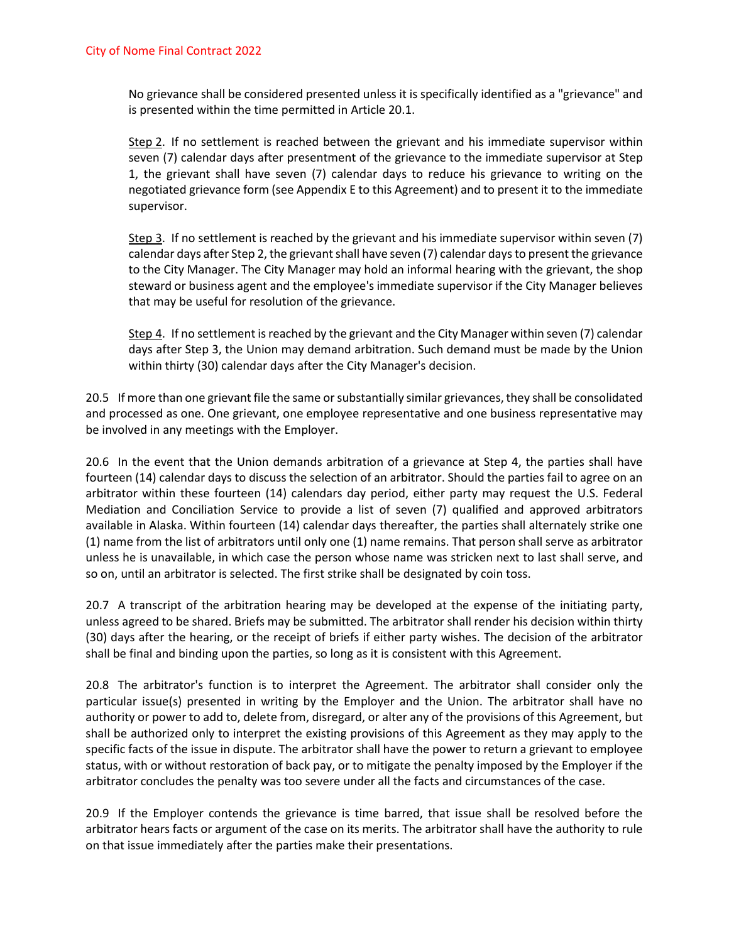No grievance shall be considered presented unless it is specifically identified as a "grievance" and is presented within the time permitted in Article 20.1.

Step 2. If no settlement is reached between the grievant and his immediate supervisor within seven (7) calendar days after presentment of the grievance to the immediate supervisor at Step 1, the grievant shall have seven (7) calendar days to reduce his grievance to writing on the negotiated grievance form (see Appendix E to this Agreement) and to present it to the immediate supervisor.

Step 3. If no settlement is reached by the grievant and his immediate supervisor within seven (7) calendar days after Step 2, the grievant shall have seven (7) calendar days to present the grievance to the City Manager. The City Manager may hold an informal hearing with the grievant, the shop steward or business agent and the employee's immediate supervisor if the City Manager believes that may be useful for resolution of the grievance.

Step 4. If no settlement is reached by the grievant and the City Manager within seven (7) calendar days after Step 3, the Union may demand arbitration. Such demand must be made by the Union within thirty (30) calendar days after the City Manager's decision.

20.5 If more than one grievant file the same or substantially similar grievances, they shall be consolidated and processed as one. One grievant, one employee representative and one business representative may be involved in any meetings with the Employer.

20.6 In the event that the Union demands arbitration of a grievance at Step 4, the parties shall have fourteen (14) calendar days to discuss the selection of an arbitrator. Should the parties fail to agree on an arbitrator within these fourteen (14) calendars day period, either party may request the U.S. Federal Mediation and Conciliation Service to provide a list of seven (7) qualified and approved arbitrators available in Alaska. Within fourteen (14) calendar days thereafter, the parties shall alternately strike one (1) name from the list of arbitrators until only one (1) name remains. That person shall serve as arbitrator unless he is unavailable, in which case the person whose name was stricken next to last shall serve, and so on, until an arbitrator is selected. The first strike shall be designated by coin toss.

20.7 A transcript of the arbitration hearing may be developed at the expense of the initiating party, unless agreed to be shared. Briefs may be submitted. The arbitrator shall render his decision within thirty (30) days after the hearing, or the receipt of briefs if either party wishes. The decision of the arbitrator shall be final and binding upon the parties, so long as it is consistent with this Agreement.

20.8 The arbitrator's function is to interpret the Agreement. The arbitrator shall consider only the particular issue(s) presented in writing by the Employer and the Union. The arbitrator shall have no authority or power to add to, delete from, disregard, or alter any of the provisions of this Agreement, but shall be authorized only to interpret the existing provisions of this Agreement as they may apply to the specific facts of the issue in dispute. The arbitrator shall have the power to return a grievant to employee status, with or without restoration of back pay, or to mitigate the penalty imposed by the Employer if the arbitrator concludes the penalty was too severe under all the facts and circumstances of the case.

20.9 If the Employer contends the grievance is time barred, that issue shall be resolved before the arbitrator hears facts or argument of the case on its merits. The arbitrator shall have the authority to rule on that issue immediately after the parties make their presentations.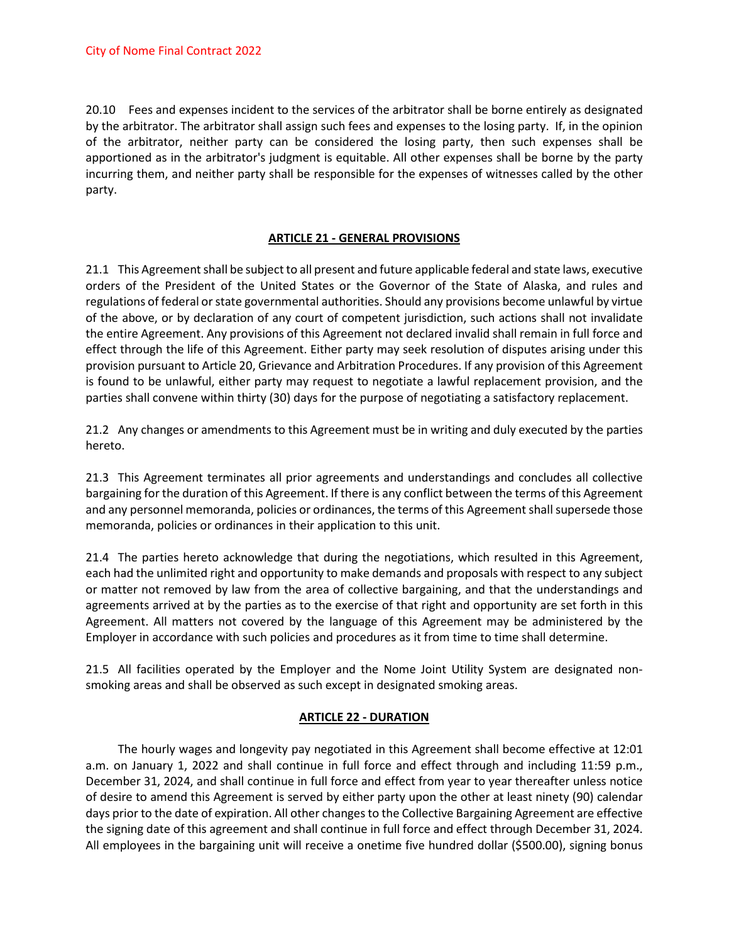20.10 Fees and expenses incident to the services of the arbitrator shall be borne entirely as designated by the arbitrator. The arbitrator shall assign such fees and expenses to the losing party. If, in the opinion of the arbitrator, neither party can be considered the losing party, then such expenses shall be apportioned as in the arbitrator's judgment is equitable. All other expenses shall be borne by the party incurring them, and neither party shall be responsible for the expenses of witnesses called by the other party.

### **ARTICLE 21 - GENERAL PROVISIONS**

21.1 This Agreement shall be subject to all present and future applicable federal and state laws, executive orders of the President of the United States or the Governor of the State of Alaska, and rules and regulations of federal or state governmental authorities. Should any provisions become unlawful by virtue of the above, or by declaration of any court of competent jurisdiction, such actions shall not invalidate the entire Agreement. Any provisions of this Agreement not declared invalid shall remain in full force and effect through the life of this Agreement. Either party may seek resolution of disputes arising under this provision pursuant to Article 20, Grievance and Arbitration Procedures. If any provision of this Agreement is found to be unlawful, either party may request to negotiate a lawful replacement provision, and the parties shall convene within thirty (30) days for the purpose of negotiating a satisfactory replacement.

21.2 Any changes or amendments to this Agreement must be in writing and duly executed by the parties hereto.

21.3 This Agreement terminates all prior agreements and understandings and concludes all collective bargaining for the duration of this Agreement. If there is any conflict between the terms of this Agreement and any personnel memoranda, policies or ordinances, the terms of this Agreement shall supersede those memoranda, policies or ordinances in their application to this unit.

21.4 The parties hereto acknowledge that during the negotiations, which resulted in this Agreement, each had the unlimited right and opportunity to make demands and proposals with respect to any subject or matter not removed by law from the area of collective bargaining, and that the understandings and agreements arrived at by the parties as to the exercise of that right and opportunity are set forth in this Agreement. All matters not covered by the language of this Agreement may be administered by the Employer in accordance with such policies and procedures as it from time to time shall determine.

21.5 All facilities operated by the Employer and the Nome Joint Utility System are designated nonsmoking areas and shall be observed as such except in designated smoking areas.

### **ARTICLE 22 - DURATION**

The hourly wages and longevity pay negotiated in this Agreement shall become effective at 12:01 a.m. on January 1, 2022 and shall continue in full force and effect through and including 11:59 p.m., December 31, 2024, and shall continue in full force and effect from year to year thereafter unless notice of desire to amend this Agreement is served by either party upon the other at least ninety (90) calendar days prior to the date of expiration. All other changes to the Collective Bargaining Agreement are effective the signing date of this agreement and shall continue in full force and effect through December 31, 2024. All employees in the bargaining unit will receive a onetime five hundred dollar (\$500.00), signing bonus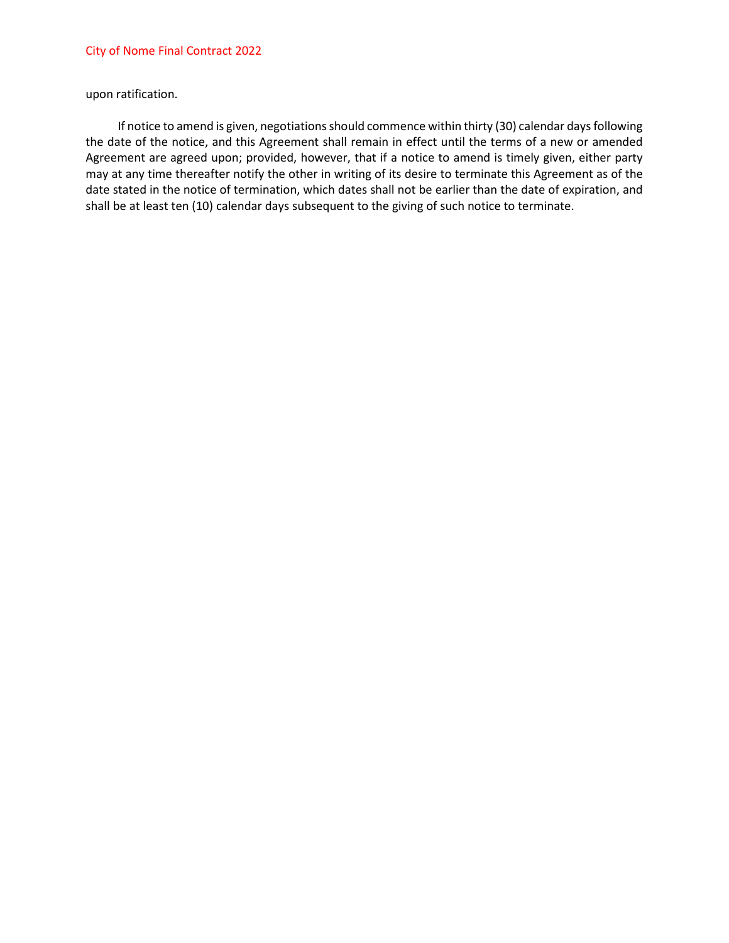upon ratification.

If notice to amend is given, negotiations should commence within thirty (30) calendar days following the date of the notice, and this Agreement shall remain in effect until the terms of a new or amended Agreement are agreed upon; provided, however, that if a notice to amend is timely given, either party may at any time thereafter notify the other in writing of its desire to terminate this Agreement as of the date stated in the notice of termination, which dates shall not be earlier than the date of expiration, and shall be at least ten (10) calendar days subsequent to the giving of such notice to terminate.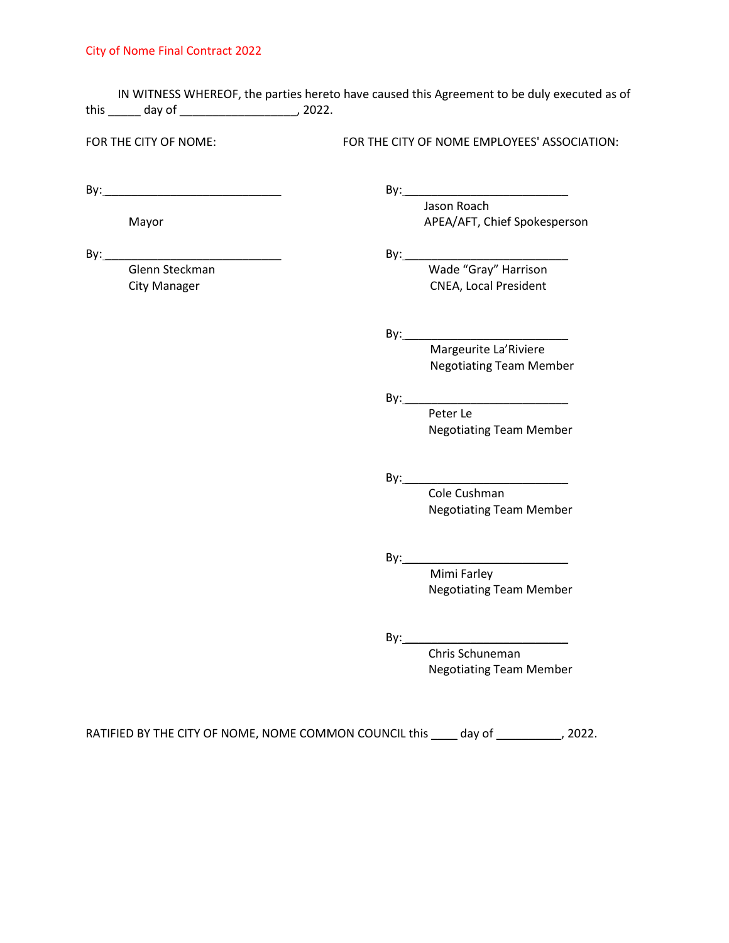IN WITNESS WHEREOF, the parties hereto have caused this Agreement to be duly executed as of this \_\_\_\_\_ day of \_\_\_\_\_\_\_\_\_\_\_\_\_\_\_\_\_\_, 2022.

FOR THE CITY OF NOME: FOR THE CITY OF NOME EMPLOYEES' ASSOCIATION:

Jason Roach

By: \_\_\_\_\_\_\_\_\_\_\_\_\_\_\_\_\_\_\_\_\_\_\_\_\_\_\_ By: \_\_\_\_\_\_\_\_\_\_\_\_\_\_\_\_\_\_\_\_\_\_\_\_\_

Mayor Mayor APEA/AFT, Chief Spokesperson

By: \_\_\_\_\_\_\_\_\_\_\_\_\_\_\_\_\_\_\_\_\_\_\_\_\_\_\_ By: \_\_\_\_\_\_\_\_\_\_\_\_\_\_\_\_\_\_\_\_\_\_\_\_\_

Wade "Gray" Harrison City Manager City Manager CNEA, Local President

By: \_\_\_\_\_\_\_\_\_\_\_\_\_\_\_\_\_\_\_\_\_\_\_\_\_

 Margeurite La'Riviere Negotiating Team Member

By: \_\_\_\_\_\_\_\_\_\_\_\_\_\_\_\_\_\_\_\_\_\_\_\_\_ Peter Le Negotiating Team Member

 $By:$ 

Cole Cushman Negotiating Team Member

By: \_\_\_\_\_\_\_\_\_\_\_\_\_\_\_\_\_\_\_\_\_\_\_\_\_

 Mimi Farley Negotiating Team Member

 $By:$ 

Chris Schuneman Negotiating Team Member

RATIFIED BY THE CITY OF NOME, NOME COMMON COUNCIL this \_\_\_\_ day of \_\_\_\_\_\_\_\_\_\_, 2022.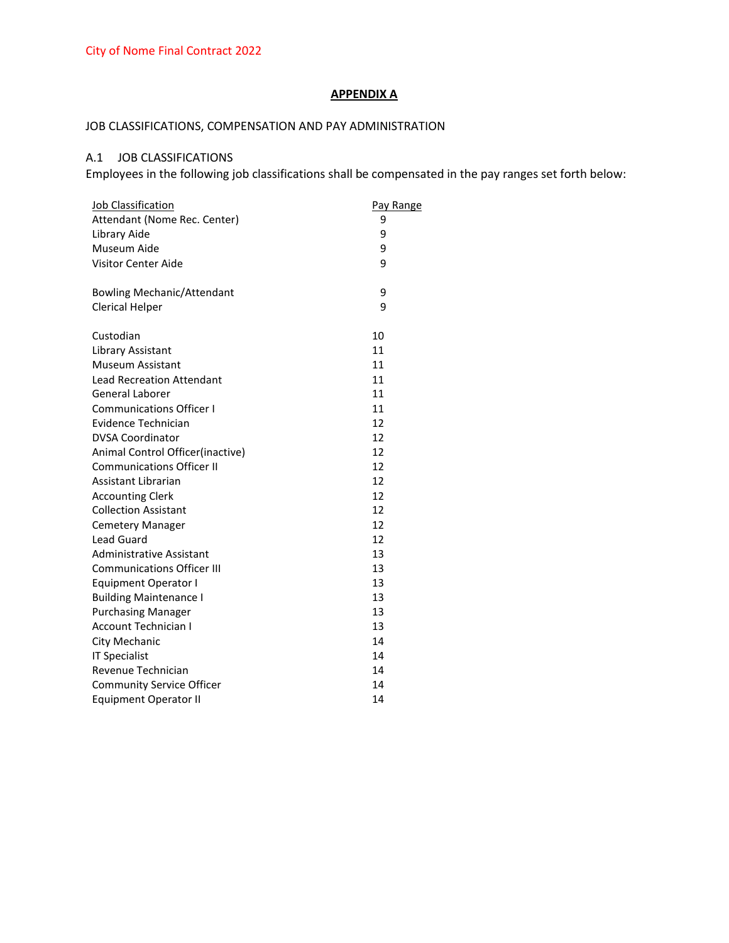### **APPENDIX A**

## JOB CLASSIFICATIONS, COMPENSATION AND PAY ADMINISTRATION

## A.1 JOB CLASSIFICATIONS

Employees in the following job classifications shall be compensated in the pay ranges set forth below:

| Job Classification                | Pay Range |  |
|-----------------------------------|-----------|--|
| Attendant (Nome Rec. Center)      | 9         |  |
| Library Aide                      | 9         |  |
| Museum Aide                       | 9         |  |
| <b>Visitor Center Aide</b>        | 9         |  |
| <b>Bowling Mechanic/Attendant</b> | 9         |  |
| <b>Clerical Helper</b>            | 9         |  |
| Custodian                         | 10        |  |
| Library Assistant                 | 11        |  |
| Museum Assistant                  | 11        |  |
| <b>Lead Recreation Attendant</b>  | 11        |  |
| <b>General Laborer</b>            | 11        |  |
| <b>Communications Officer I</b>   | 11        |  |
| Evidence Technician               | 12        |  |
| <b>DVSA Coordinator</b>           | 12        |  |
| Animal Control Officer(inactive)  | 12        |  |
| <b>Communications Officer II</b>  | 12        |  |
| Assistant Librarian               | 12        |  |
| <b>Accounting Clerk</b>           | 12        |  |
| <b>Collection Assistant</b>       | 12        |  |
| <b>Cemetery Manager</b>           | 12        |  |
| <b>Lead Guard</b>                 | 12        |  |
| <b>Administrative Assistant</b>   | 13        |  |
| <b>Communications Officer III</b> | 13        |  |
| <b>Equipment Operator I</b>       | 13        |  |
| <b>Building Maintenance I</b>     | 13        |  |
| <b>Purchasing Manager</b>         | 13        |  |
| <b>Account Technician I</b>       | 13        |  |
| City Mechanic                     | 14        |  |
| <b>IT Specialist</b>              | 14        |  |
| Revenue Technician                | 14        |  |
| <b>Community Service Officer</b>  | 14        |  |
| <b>Equipment Operator II</b>      | 14        |  |
|                                   |           |  |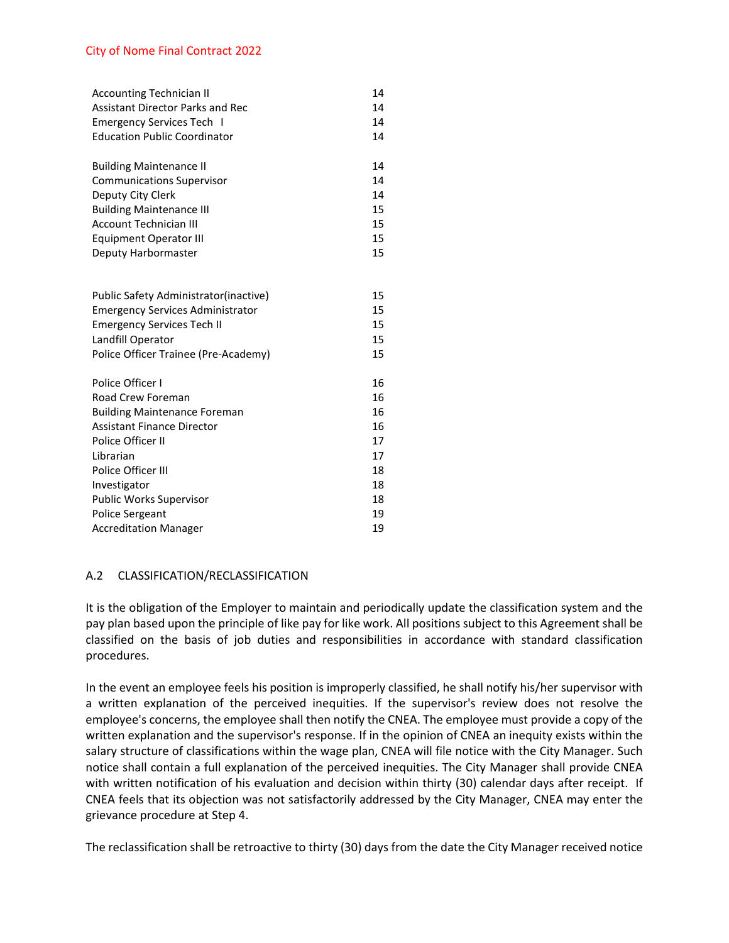| <b>Accounting Technician II</b>         | 14 |
|-----------------------------------------|----|
| <b>Assistant Director Parks and Rec</b> | 14 |
| <b>Emergency Services Tech I</b>        | 14 |
| <b>Education Public Coordinator</b>     | 14 |
|                                         |    |
| <b>Building Maintenance II</b>          | 14 |
| <b>Communications Supervisor</b>        | 14 |
| Deputy City Clerk                       | 14 |
| <b>Building Maintenance III</b>         | 15 |
| <b>Account Technician III</b>           | 15 |
| <b>Equipment Operator III</b>           | 15 |
| Deputy Harbormaster                     | 15 |
|                                         |    |
|                                         |    |
| Public Safety Administrator (inactive)  | 15 |
| <b>Emergency Services Administrator</b> | 15 |
| <b>Emergency Services Tech II</b>       | 15 |
| Landfill Operator                       | 15 |
| Police Officer Trainee (Pre-Academy)    | 15 |
|                                         |    |
| Police Officer I                        | 16 |
| Road Crew Foreman                       | 16 |
| <b>Building Maintenance Foreman</b>     | 16 |
| <b>Assistant Finance Director</b>       | 16 |
| Police Officer II                       | 17 |
| Librarian                               | 17 |
| Police Officer III                      | 18 |
| Investigator                            | 18 |
| <b>Public Works Supervisor</b>          | 18 |
| <b>Police Sergeant</b>                  | 19 |
| <b>Accreditation Manager</b>            | 19 |

### A.2 CLASSIFICATION/RECLASSIFICATION

It is the obligation of the Employer to maintain and periodically update the classification system and the pay plan based upon the principle of like pay for like work. All positions subject to this Agreement shall be classified on the basis of job duties and responsibilities in accordance with standard classification procedures.

In the event an employee feels his position is improperly classified, he shall notify his/her supervisor with a written explanation of the perceived inequities. If the supervisor's review does not resolve the employee's concerns, the employee shall then notify the CNEA. The employee must provide a copy of the written explanation and the supervisor's response. If in the opinion of CNEA an inequity exists within the salary structure of classifications within the wage plan, CNEA will file notice with the City Manager. Such notice shall contain a full explanation of the perceived inequities. The City Manager shall provide CNEA with written notification of his evaluation and decision within thirty (30) calendar days after receipt. If CNEA feels that its objection was not satisfactorily addressed by the City Manager, CNEA may enter the grievance procedure at Step 4.

The reclassification shall be retroactive to thirty (30) days from the date the City Manager received notice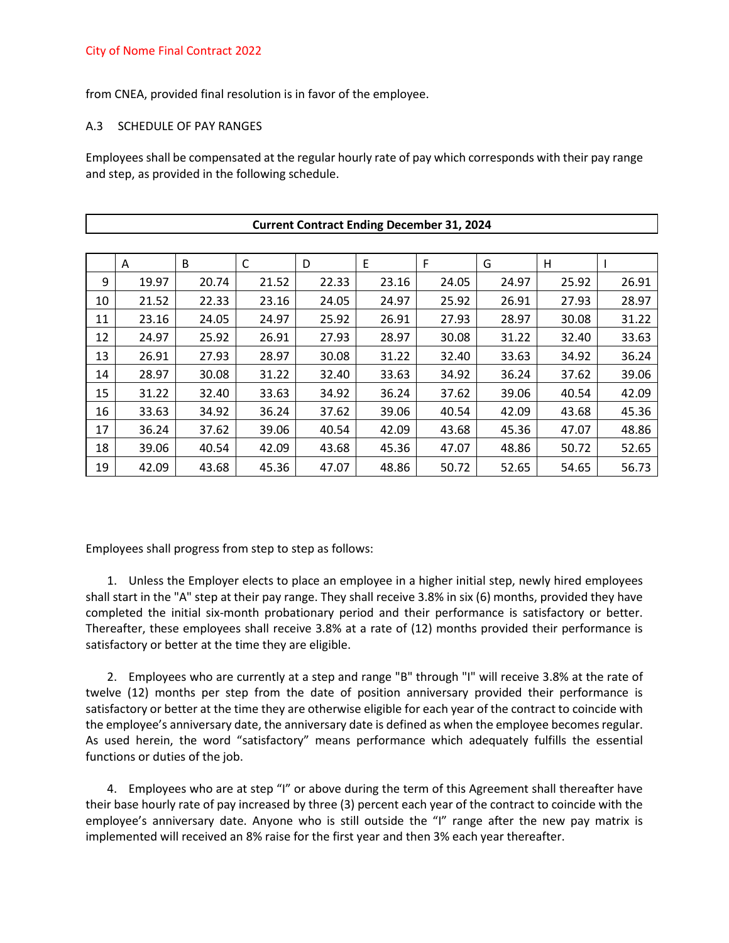from CNEA, provided final resolution is in favor of the employee.

### A.3 SCHEDULE OF PAY RANGES

Employees shall be compensated at the regular hourly rate of pay which corresponds with their pay range and step, as provided in the following schedule.

| <b>Current Contract Ending December 31, 2024</b> |       |       |              |       |       |       |       |       |       |
|--------------------------------------------------|-------|-------|--------------|-------|-------|-------|-------|-------|-------|
|                                                  |       |       |              |       |       |       |       |       |       |
|                                                  | A     | B     | $\mathsf{C}$ | D     | E     | F     | G     | Η     |       |
| 9                                                | 19.97 | 20.74 | 21.52        | 22.33 | 23.16 | 24.05 | 24.97 | 25.92 | 26.91 |
| 10                                               | 21.52 | 22.33 | 23.16        | 24.05 | 24.97 | 25.92 | 26.91 | 27.93 | 28.97 |
| 11                                               | 23.16 | 24.05 | 24.97        | 25.92 | 26.91 | 27.93 | 28.97 | 30.08 | 31.22 |
| 12                                               | 24.97 | 25.92 | 26.91        | 27.93 | 28.97 | 30.08 | 31.22 | 32.40 | 33.63 |
| 13                                               | 26.91 | 27.93 | 28.97        | 30.08 | 31.22 | 32.40 | 33.63 | 34.92 | 36.24 |
| 14                                               | 28.97 | 30.08 | 31.22        | 32.40 | 33.63 | 34.92 | 36.24 | 37.62 | 39.06 |
| 15                                               | 31.22 | 32.40 | 33.63        | 34.92 | 36.24 | 37.62 | 39.06 | 40.54 | 42.09 |
| 16                                               | 33.63 | 34.92 | 36.24        | 37.62 | 39.06 | 40.54 | 42.09 | 43.68 | 45.36 |
| 17                                               | 36.24 | 37.62 | 39.06        | 40.54 | 42.09 | 43.68 | 45.36 | 47.07 | 48.86 |
| 18                                               | 39.06 | 40.54 | 42.09        | 43.68 | 45.36 | 47.07 | 48.86 | 50.72 | 52.65 |
| 19                                               | 42.09 | 43.68 | 45.36        | 47.07 | 48.86 | 50.72 | 52.65 | 54.65 | 56.73 |

Employees shall progress from step to step as follows:

1. Unless the Employer elects to place an employee in a higher initial step, newly hired employees shall start in the "A" step at their pay range. They shall receive 3.8% in six (6) months, provided they have completed the initial six-month probationary period and their performance is satisfactory or better. Thereafter, these employees shall receive 3.8% at a rate of (12) months provided their performance is satisfactory or better at the time they are eligible.

2. Employees who are currently at a step and range "B" through "I" will receive 3.8% at the rate of twelve (12) months per step from the date of position anniversary provided their performance is satisfactory or better at the time they are otherwise eligible for each year of the contract to coincide with the employee's anniversary date, the anniversary date is defined as when the employee becomes regular. As used herein, the word "satisfactory" means performance which adequately fulfills the essential functions or duties of the job.

4. Employees who are at step "I" or above during the term of this Agreement shall thereafter have their base hourly rate of pay increased by three (3) percent each year of the contract to coincide with the employee's anniversary date. Anyone who is still outside the "I" range after the new pay matrix is implemented will received an 8% raise for the first year and then 3% each year thereafter.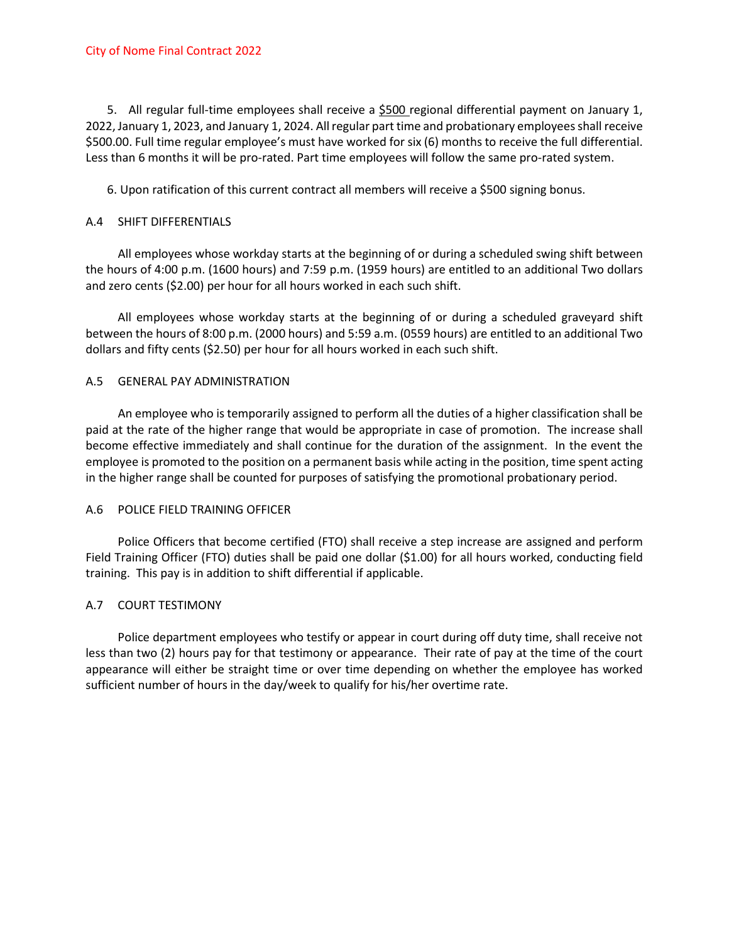5. All regular full-time employees shall receive a \$500 regional differential payment on January 1, 2022, January 1, 2023, and January 1, 2024. All regular part time and probationary employees shall receive \$500.00. Full time regular employee's must have worked for six (6) months to receive the full differential. Less than 6 months it will be pro-rated. Part time employees will follow the same pro-rated system.

6. Upon ratification of this current contract all members will receive a \$500 signing bonus.

### A.4 SHIFT DIFFERENTIALS

All employees whose workday starts at the beginning of or during a scheduled swing shift between the hours of 4:00 p.m. (1600 hours) and 7:59 p.m. (1959 hours) are entitled to an additional Two dollars and zero cents (\$2.00) per hour for all hours worked in each such shift.

All employees whose workday starts at the beginning of or during a scheduled graveyard shift between the hours of 8:00 p.m. (2000 hours) and 5:59 a.m. (0559 hours) are entitled to an additional Two dollars and fifty cents (\$2.50) per hour for all hours worked in each such shift.

## A.5 GENERAL PAY ADMINISTRATION

An employee who is temporarily assigned to perform all the duties of a higher classification shall be paid at the rate of the higher range that would be appropriate in case of promotion. The increase shall become effective immediately and shall continue for the duration of the assignment. In the event the employee is promoted to the position on a permanent basis while acting in the position, time spent acting in the higher range shall be counted for purposes of satisfying the promotional probationary period.

### A.6 POLICE FIELD TRAINING OFFICER

Police Officers that become certified (FTO) shall receive a step increase are assigned and perform Field Training Officer (FTO) duties shall be paid one dollar (\$1.00) for all hours worked, conducting field training. This pay is in addition to shift differential if applicable.

## A.7 COURT TESTIMONY

Police department employees who testify or appear in court during off duty time, shall receive not less than two (2) hours pay for that testimony or appearance. Their rate of pay at the time of the court appearance will either be straight time or over time depending on whether the employee has worked sufficient number of hours in the day/week to qualify for his/her overtime rate.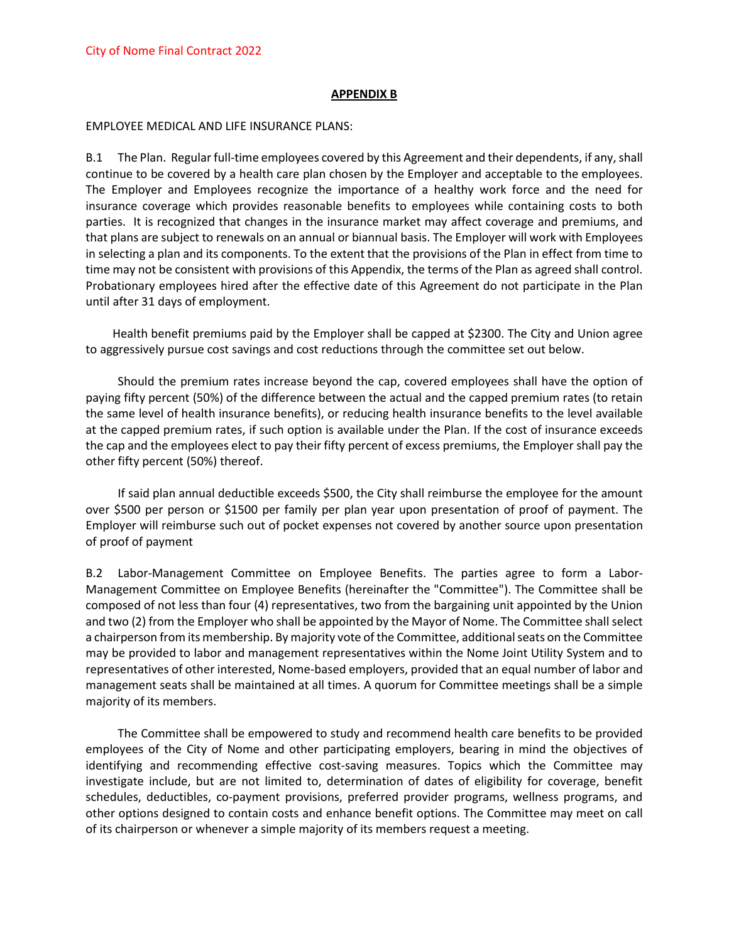#### **APPENDIX B**

#### EMPLOYEE MEDICAL AND LIFE INSURANCE PLANS:

B.1 The Plan. Regular full-time employees covered by this Agreement and their dependents, if any, shall continue to be covered by a health care plan chosen by the Employer and acceptable to the employees. The Employer and Employees recognize the importance of a healthy work force and the need for insurance coverage which provides reasonable benefits to employees while containing costs to both parties. It is recognized that changes in the insurance market may affect coverage and premiums, and that plans are subject to renewals on an annual or biannual basis. The Employer will work with Employees in selecting a plan and its components. To the extent that the provisions of the Plan in effect from time to time may not be consistent with provisions of this Appendix, the terms of the Plan as agreed shall control. Probationary employees hired after the effective date of this Agreement do not participate in the Plan until after 31 days of employment.

Health benefit premiums paid by the Employer shall be capped at \$2300. The City and Union agree to aggressively pursue cost savings and cost reductions through the committee set out below.

Should the premium rates increase beyond the cap, covered employees shall have the option of paying fifty percent (50%) of the difference between the actual and the capped premium rates (to retain the same level of health insurance benefits), or reducing health insurance benefits to the level available at the capped premium rates, if such option is available under the Plan. If the cost of insurance exceeds the cap and the employees elect to pay their fifty percent of excess premiums, the Employer shall pay the other fifty percent (50%) thereof.

If said plan annual deductible exceeds \$500, the City shall reimburse the employee for the amount over \$500 per person or \$1500 per family per plan year upon presentation of proof of payment. The Employer will reimburse such out of pocket expenses not covered by another source upon presentation of proof of payment

B.2 Labor-Management Committee on Employee Benefits. The parties agree to form a Labor-Management Committee on Employee Benefits (hereinafter the "Committee"). The Committee shall be composed of not less than four (4) representatives, two from the bargaining unit appointed by the Union and two (2) from the Employer who shall be appointed by the Mayor of Nome. The Committee shall select a chairperson from its membership. By majority vote of the Committee, additional seats on the Committee may be provided to labor and management representatives within the Nome Joint Utility System and to representatives of other interested, Nome-based employers, provided that an equal number of labor and management seats shall be maintained at all times. A quorum for Committee meetings shall be a simple majority of its members.

The Committee shall be empowered to study and recommend health care benefits to be provided employees of the City of Nome and other participating employers, bearing in mind the objectives of identifying and recommending effective cost-saving measures. Topics which the Committee may investigate include, but are not limited to, determination of dates of eligibility for coverage, benefit schedules, deductibles, co-payment provisions, preferred provider programs, wellness programs, and other options designed to contain costs and enhance benefit options. The Committee may meet on call of its chairperson or whenever a simple majority of its members request a meeting.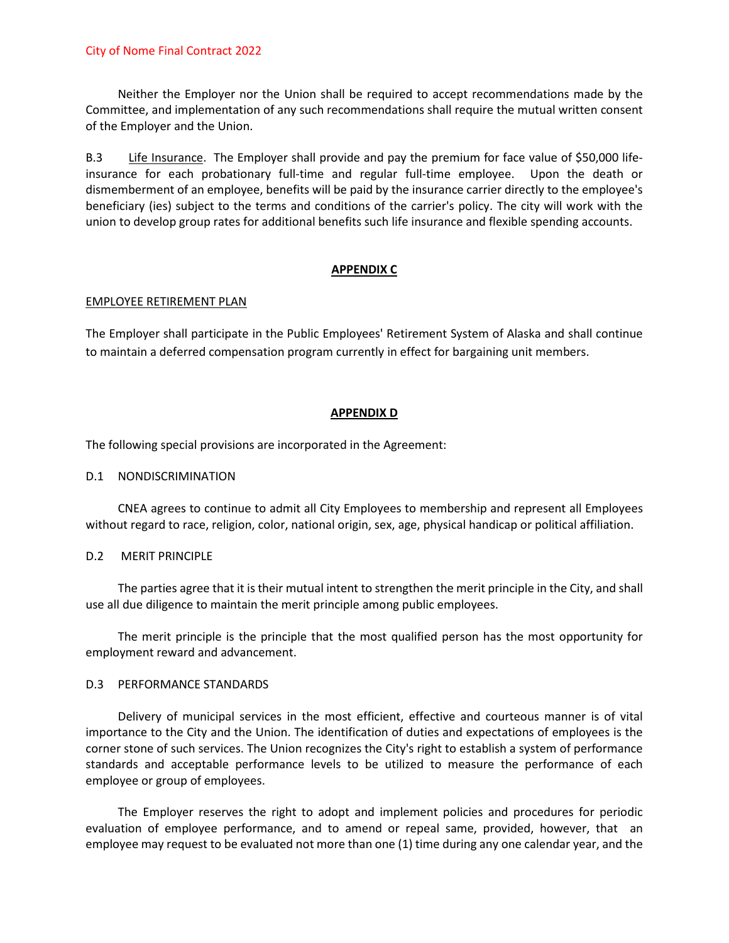Neither the Employer nor the Union shall be required to accept recommendations made by the Committee, and implementation of any such recommendations shall require the mutual written consent of the Employer and the Union.

B.3 Life Insurance. The Employer shall provide and pay the premium for face value of \$50,000 lifeinsurance for each probationary full-time and regular full-time employee. Upon the death or dismemberment of an employee, benefits will be paid by the insurance carrier directly to the employee's beneficiary (ies) subject to the terms and conditions of the carrier's policy. The city will work with the union to develop group rates for additional benefits such life insurance and flexible spending accounts.

### **APPENDIX C**

### EMPLOYEE RETIREMENT PLAN

The Employer shall participate in the Public Employees' Retirement System of Alaska and shall continue to maintain a deferred compensation program currently in effect for bargaining unit members.

### **APPENDIX D**

The following special provisions are incorporated in the Agreement:

### D.1 NONDISCRIMINATION

CNEA agrees to continue to admit all City Employees to membership and represent all Employees without regard to race, religion, color, national origin, sex, age, physical handicap or political affiliation.

### D.2 MERIT PRINCIPLE

The parties agree that it is their mutual intent to strengthen the merit principle in the City, and shall use all due diligence to maintain the merit principle among public employees.

The merit principle is the principle that the most qualified person has the most opportunity for employment reward and advancement.

### D.3 PERFORMANCE STANDARDS

Delivery of municipal services in the most efficient, effective and courteous manner is of vital importance to the City and the Union. The identification of duties and expectations of employees is the corner stone of such services. The Union recognizes the City's right to establish a system of performance standards and acceptable performance levels to be utilized to measure the performance of each employee or group of employees.

The Employer reserves the right to adopt and implement policies and procedures for periodic evaluation of employee performance, and to amend or repeal same, provided, however, that an employee may request to be evaluated not more than one (1) time during any one calendar year, and the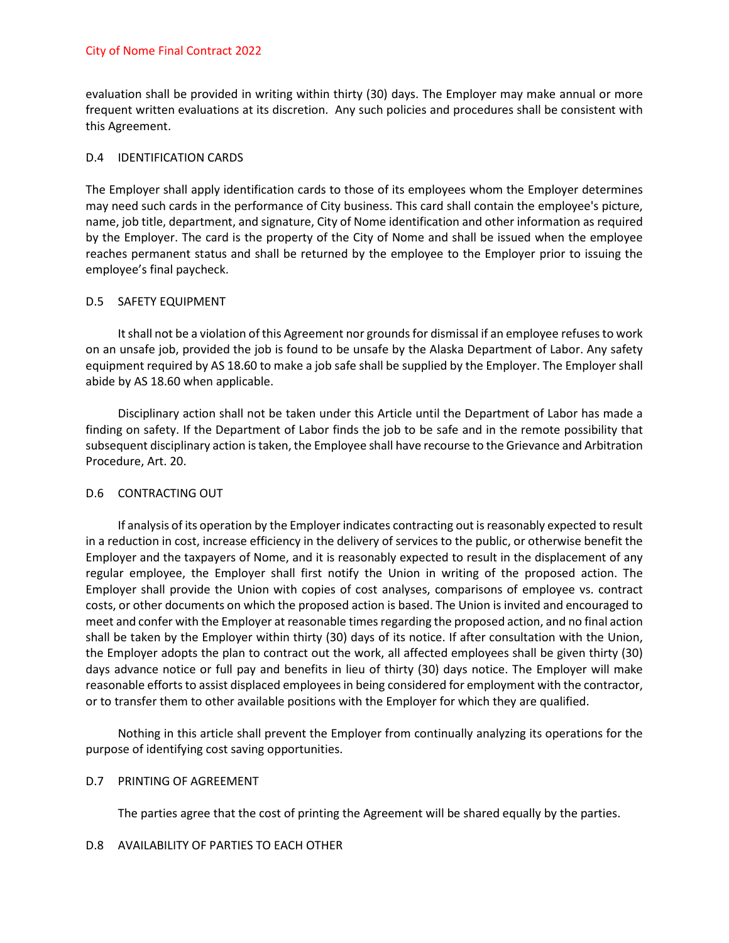evaluation shall be provided in writing within thirty (30) days. The Employer may make annual or more frequent written evaluations at its discretion. Any such policies and procedures shall be consistent with this Agreement.

### D.4 IDENTIFICATION CARDS

The Employer shall apply identification cards to those of its employees whom the Employer determines may need such cards in the performance of City business. This card shall contain the employee's picture, name, job title, department, and signature, City of Nome identification and other information as required by the Employer. The card is the property of the City of Nome and shall be issued when the employee reaches permanent status and shall be returned by the employee to the Employer prior to issuing the employee's final paycheck.

### D.5 SAFETY EQUIPMENT

It shall not be a violation of this Agreement nor grounds for dismissal if an employee refuses to work on an unsafe job, provided the job is found to be unsafe by the Alaska Department of Labor. Any safety equipment required by AS 18.60 to make a job safe shall be supplied by the Employer. The Employer shall abide by AS 18.60 when applicable.

Disciplinary action shall not be taken under this Article until the Department of Labor has made a finding on safety. If the Department of Labor finds the job to be safe and in the remote possibility that subsequent disciplinary action is taken, the Employee shall have recourse to the Grievance and Arbitration Procedure, Art. 20.

### D.6 CONTRACTING OUT

If analysis of its operation by the Employer indicates contracting out is reasonably expected to result in a reduction in cost, increase efficiency in the delivery of services to the public, or otherwise benefit the Employer and the taxpayers of Nome, and it is reasonably expected to result in the displacement of any regular employee, the Employer shall first notify the Union in writing of the proposed action. The Employer shall provide the Union with copies of cost analyses, comparisons of employee vs. contract costs, or other documents on which the proposed action is based. The Union is invited and encouraged to meet and confer with the Employer at reasonable times regarding the proposed action, and no final action shall be taken by the Employer within thirty (30) days of its notice. If after consultation with the Union, the Employer adopts the plan to contract out the work, all affected employees shall be given thirty (30) days advance notice or full pay and benefits in lieu of thirty (30) days notice. The Employer will make reasonable efforts to assist displaced employees in being considered for employment with the contractor, or to transfer them to other available positions with the Employer for which they are qualified.

Nothing in this article shall prevent the Employer from continually analyzing its operations for the purpose of identifying cost saving opportunities.

### D.7 PRINTING OF AGREEMENT

The parties agree that the cost of printing the Agreement will be shared equally by the parties.

### D.8 AVAILABILITY OF PARTIES TO EACH OTHER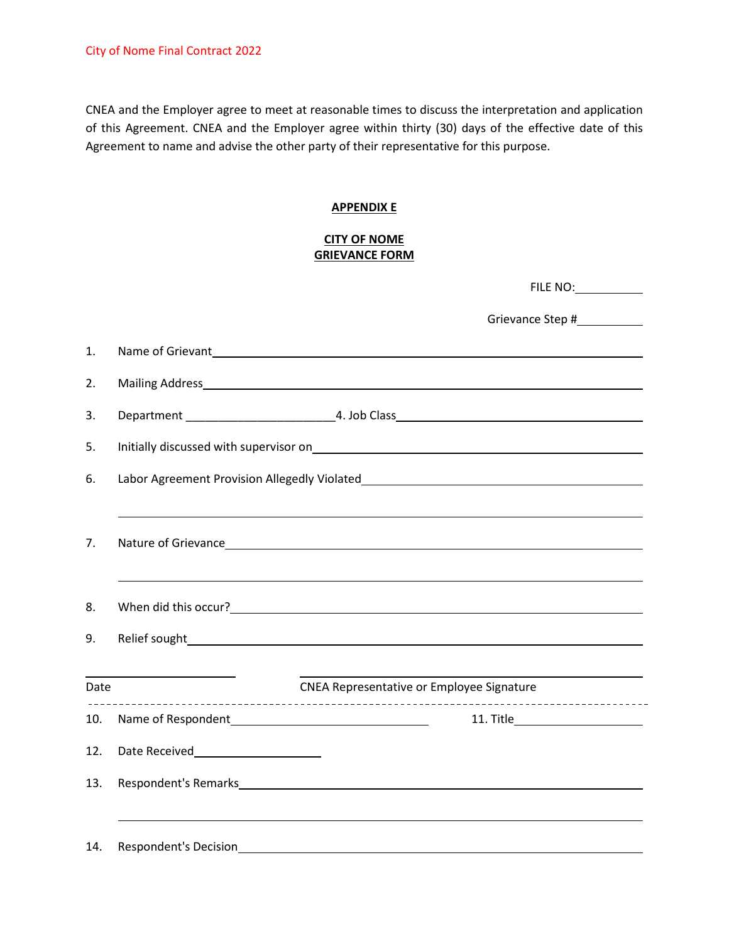CNEA and the Employer agree to meet at reasonable times to discuss the interpretation and application of this Agreement. CNEA and the Employer agree within thirty (30) days of the effective date of this Agreement to name and advise the other party of their representative for this purpose.

### **APPENDIX E**

### **CITY OF NOME GRIEVANCE FORM**

|      |                              | FILE NO:                                                                                                                                                                                                                             |
|------|------------------------------|--------------------------------------------------------------------------------------------------------------------------------------------------------------------------------------------------------------------------------------|
|      |                              | Grievance Step #____________                                                                                                                                                                                                         |
| 1.   |                              | Name of Grievant and Contract and Contract and Contract and Contract and Contract and Contract and Contract and Contract and Contract and Contract and Contract and Contract and Contract and Contract and Contract and Contra       |
| 2.   |                              |                                                                                                                                                                                                                                      |
| 3.   |                              |                                                                                                                                                                                                                                      |
| 5.   |                              | Initially discussed with supervisor on <b>EXALLACTER CONSUMING THE CONSUMING TO A READ AND THE CONSUMING TO A REA</b>                                                                                                                |
| 6.   |                              |                                                                                                                                                                                                                                      |
| 7.   |                              | Nature of Grievance <b>Executive Contract Contract Contract Contract Contract Contract Contract Contract Contract Contract Contract Contract Contract Contract Contract Contract Contract Contract Contract Contract Contract Co</b> |
| 8.   |                              |                                                                                                                                                                                                                                      |
| 9.   |                              |                                                                                                                                                                                                                                      |
| Date |                              | <u> 1989 - Johann Barnett, fransk politiker (</u><br><b>CNEA Representative or Employee Signature</b>                                                                                                                                |
| 10.  |                              |                                                                                                                                                                                                                                      |
| 12.  |                              |                                                                                                                                                                                                                                      |
| 13.  |                              |                                                                                                                                                                                                                                      |
| 14.  | <b>Respondent's Decision</b> |                                                                                                                                                                                                                                      |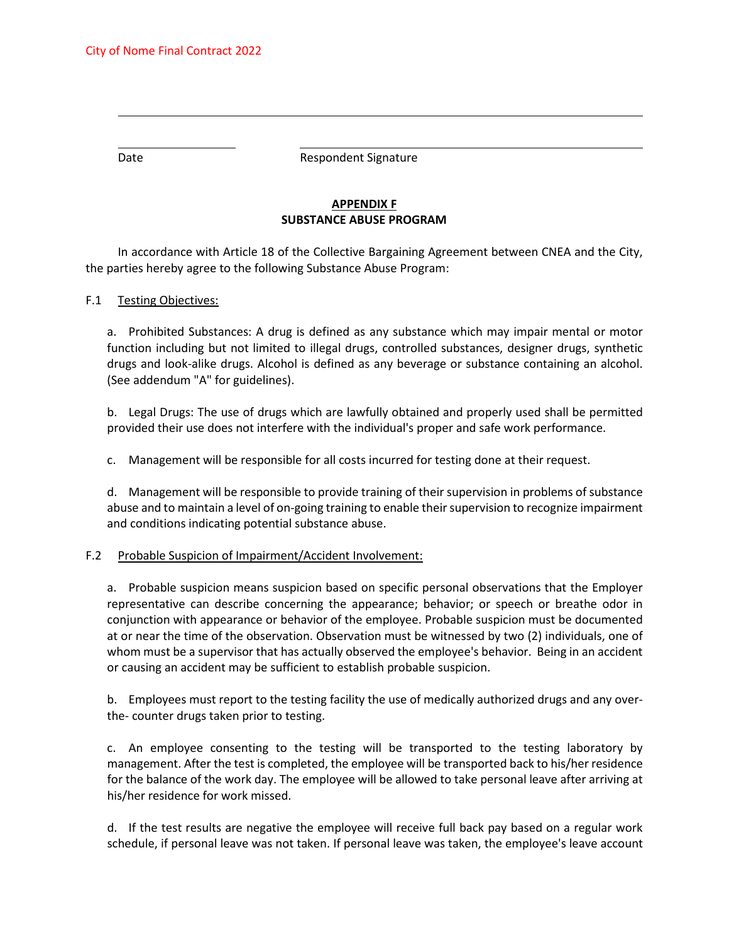Date **Date** Respondent Signature

## **APPENDIX F SUBSTANCE ABUSE PROGRAM**

In accordance with Article 18 of the Collective Bargaining Agreement between CNEA and the City, the parties hereby agree to the following Substance Abuse Program:

### F.1 Testing Objectives:

a. Prohibited Substances: A drug is defined as any substance which may impair mental or motor function including but not limited to illegal drugs, controlled substances, designer drugs, synthetic drugs and look-alike drugs. Alcohol is defined as any beverage or substance containing an alcohol. (See addendum "A" for guidelines).

b. Legal Drugs: The use of drugs which are lawfully obtained and properly used shall be permitted provided their use does not interfere with the individual's proper and safe work performance.

c. Management will be responsible for all costs incurred for testing done at their request.

d. Management will be responsible to provide training of their supervision in problems of substance abuse and to maintain a level of on-going training to enable their supervision to recognize impairment and conditions indicating potential substance abuse.

#### F.2 Probable Suspicion of Impairment/Accident Involvement:

a. Probable suspicion means suspicion based on specific personal observations that the Employer representative can describe concerning the appearance; behavior; or speech or breathe odor in conjunction with appearance or behavior of the employee. Probable suspicion must be documented at or near the time of the observation. Observation must be witnessed by two (2) individuals, one of whom must be a supervisor that has actually observed the employee's behavior. Being in an accident or causing an accident may be sufficient to establish probable suspicion.

b. Employees must report to the testing facility the use of medically authorized drugs and any overthe- counter drugs taken prior to testing.

c. An employee consenting to the testing will be transported to the testing laboratory by management. After the test is completed, the employee will be transported back to his/her residence for the balance of the work day. The employee will be allowed to take personal leave after arriving at his/her residence for work missed.

d. If the test results are negative the employee will receive full back pay based on a regular work schedule, if personal leave was not taken. If personal leave was taken, the employee's leave account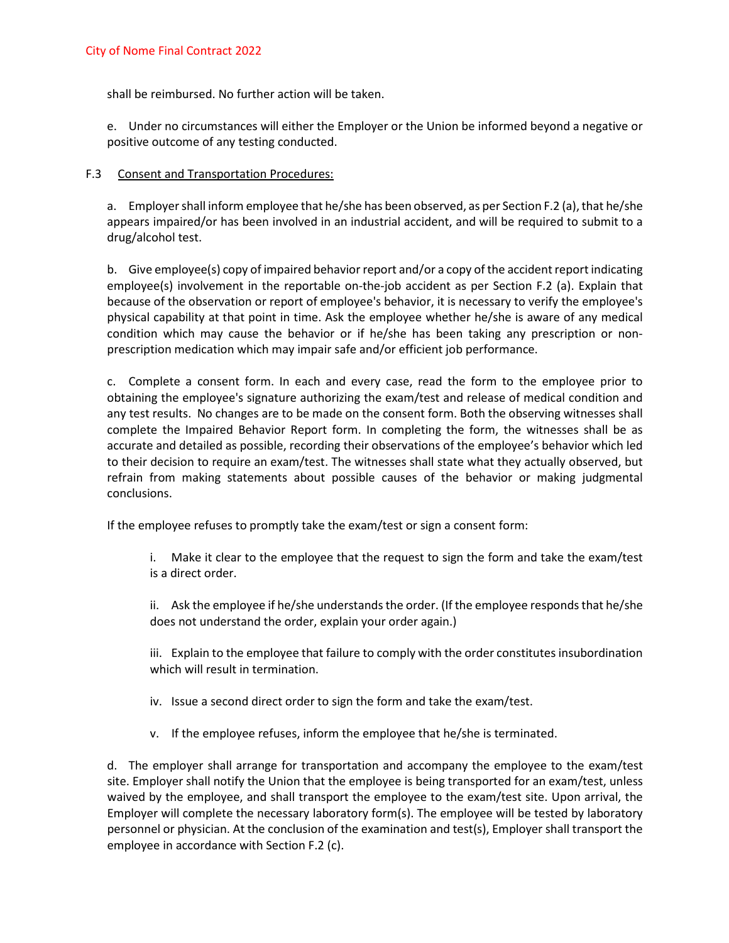shall be reimbursed. No further action will be taken.

e. Under no circumstances will either the Employer or the Union be informed beyond a negative or positive outcome of any testing conducted.

#### F.3 Consent and Transportation Procedures:

a. Employer shall inform employee that he/she has been observed, as per Section F.2 (a), that he/she appears impaired/or has been involved in an industrial accident, and will be required to submit to a drug/alcohol test.

b. Give employee(s) copy of impaired behavior report and/or a copy of the accident report indicating employee(s) involvement in the reportable on-the-job accident as per Section F.2 (a). Explain that because of the observation or report of employee's behavior, it is necessary to verify the employee's physical capability at that point in time. Ask the employee whether he/she is aware of any medical condition which may cause the behavior or if he/she has been taking any prescription or nonprescription medication which may impair safe and/or efficient job performance.

c. Complete a consent form. In each and every case, read the form to the employee prior to obtaining the employee's signature authorizing the exam/test and release of medical condition and any test results. No changes are to be made on the consent form. Both the observing witnesses shall complete the Impaired Behavior Report form. In completing the form, the witnesses shall be as accurate and detailed as possible, recording their observations of the employee's behavior which led to their decision to require an exam/test. The witnesses shall state what they actually observed, but refrain from making statements about possible causes of the behavior or making judgmental conclusions.

If the employee refuses to promptly take the exam/test or sign a consent form:

- i. Make it clear to the employee that the request to sign the form and take the exam/test is a direct order.
- ii. Ask the employee if he/she understands the order. (If the employee responds that he/she does not understand the order, explain your order again.)
- iii. Explain to the employee that failure to comply with the order constitutes insubordination which will result in termination.
- iv. Issue a second direct order to sign the form and take the exam/test.
- v. If the employee refuses, inform the employee that he/she is terminated.

d. The employer shall arrange for transportation and accompany the employee to the exam/test site. Employer shall notify the Union that the employee is being transported for an exam/test, unless waived by the employee, and shall transport the employee to the exam/test site. Upon arrival, the Employer will complete the necessary laboratory form(s). The employee will be tested by laboratory personnel or physician. At the conclusion of the examination and test(s), Employer shall transport the employee in accordance with Section F.2 (c).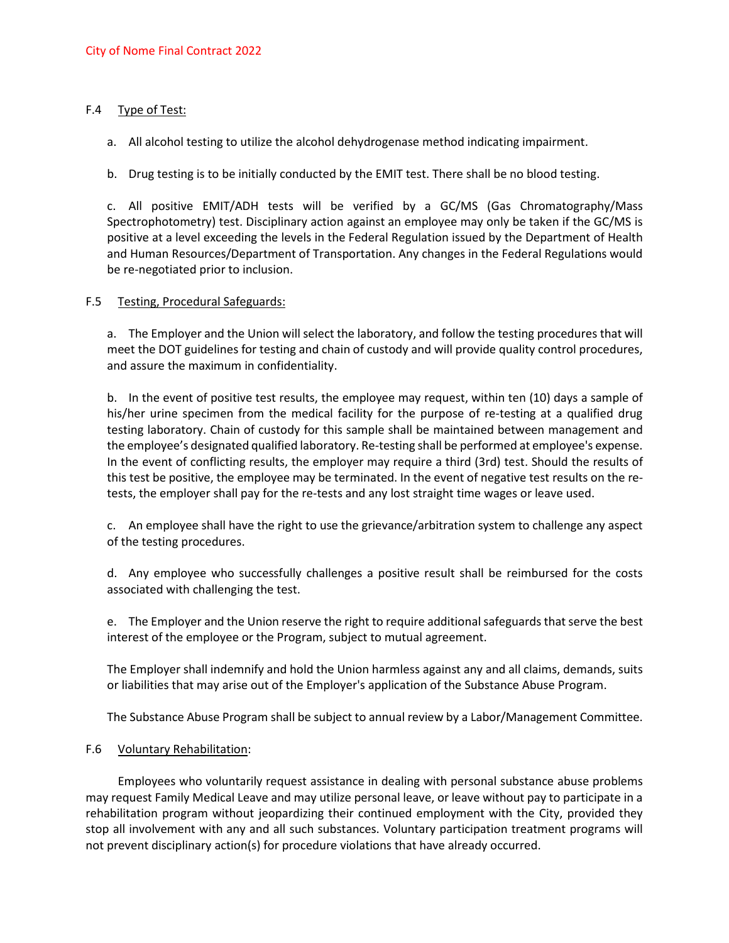### F.4 Type of Test:

a. All alcohol testing to utilize the alcohol dehydrogenase method indicating impairment.

b. Drug testing is to be initially conducted by the EMIT test. There shall be no blood testing.

c. All positive EMIT/ADH tests will be verified by a GC/MS (Gas Chromatography/Mass Spectrophotometry) test. Disciplinary action against an employee may only be taken if the GC/MS is positive at a level exceeding the levels in the Federal Regulation issued by the Department of Health and Human Resources/Department of Transportation. Any changes in the Federal Regulations would be re-negotiated prior to inclusion.

### F.5 Testing, Procedural Safeguards:

a. The Employer and the Union will select the laboratory, and follow the testing procedures that will meet the DOT guidelines for testing and chain of custody and will provide quality control procedures, and assure the maximum in confidentiality.

b. In the event of positive test results, the employee may request, within ten (10) days a sample of his/her urine specimen from the medical facility for the purpose of re-testing at a qualified drug testing laboratory. Chain of custody for this sample shall be maintained between management and the employee's designated qualified laboratory. Re-testing shall be performed at employee's expense. In the event of conflicting results, the employer may require a third (3rd) test. Should the results of this test be positive, the employee may be terminated. In the event of negative test results on the retests, the employer shall pay for the re-tests and any lost straight time wages or leave used.

c. An employee shall have the right to use the grievance/arbitration system to challenge any aspect of the testing procedures.

d. Any employee who successfully challenges a positive result shall be reimbursed for the costs associated with challenging the test.

e. The Employer and the Union reserve the right to require additional safeguards that serve the best interest of the employee or the Program, subject to mutual agreement.

The Employer shall indemnify and hold the Union harmless against any and all claims, demands, suits or liabilities that may arise out of the Employer's application of the Substance Abuse Program.

The Substance Abuse Program shall be subject to annual review by a Labor/Management Committee.

### F.6 Voluntary Rehabilitation:

Employees who voluntarily request assistance in dealing with personal substance abuse problems may request Family Medical Leave and may utilize personal leave, or leave without pay to participate in a rehabilitation program without jeopardizing their continued employment with the City, provided they stop all involvement with any and all such substances. Voluntary participation treatment programs will not prevent disciplinary action(s) for procedure violations that have already occurred.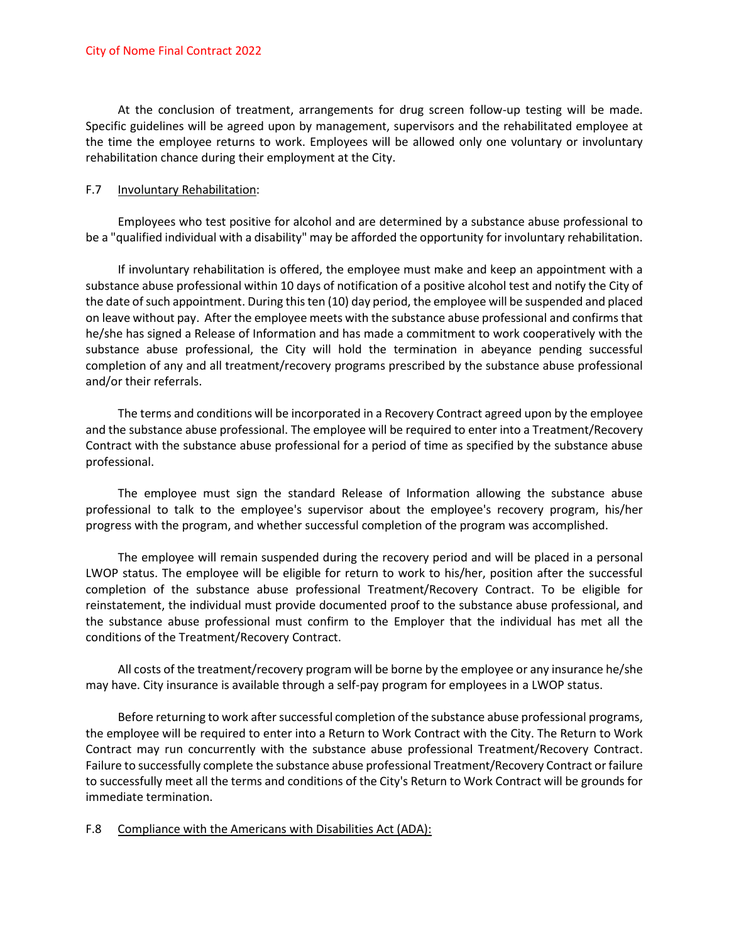At the conclusion of treatment, arrangements for drug screen follow-up testing will be made. Specific guidelines will be agreed upon by management, supervisors and the rehabilitated employee at the time the employee returns to work. Employees will be allowed only one voluntary or involuntary rehabilitation chance during their employment at the City.

### F.7 Involuntary Rehabilitation:

Employees who test positive for alcohol and are determined by a substance abuse professional to be a "qualified individual with a disability" may be afforded the opportunity for involuntary rehabilitation.

If involuntary rehabilitation is offered, the employee must make and keep an appointment with a substance abuse professional within 10 days of notification of a positive alcohol test and notify the City of the date of such appointment. During this ten (10) day period, the employee will be suspended and placed on leave without pay. After the employee meets with the substance abuse professional and confirms that he/she has signed a Release of Information and has made a commitment to work cooperatively with the substance abuse professional, the City will hold the termination in abeyance pending successful completion of any and all treatment/recovery programs prescribed by the substance abuse professional and/or their referrals.

The terms and conditions will be incorporated in a Recovery Contract agreed upon by the employee and the substance abuse professional. The employee will be required to enter into a Treatment/Recovery Contract with the substance abuse professional for a period of time as specified by the substance abuse professional.

The employee must sign the standard Release of Information allowing the substance abuse professional to talk to the employee's supervisor about the employee's recovery program, his/her progress with the program, and whether successful completion of the program was accomplished.

The employee will remain suspended during the recovery period and will be placed in a personal LWOP status. The employee will be eligible for return to work to his/her, position after the successful completion of the substance abuse professional Treatment/Recovery Contract. To be eligible for reinstatement, the individual must provide documented proof to the substance abuse professional, and the substance abuse professional must confirm to the Employer that the individual has met all the conditions of the Treatment/Recovery Contract.

All costs of the treatment/recovery program will be borne by the employee or any insurance he/she may have. City insurance is available through a self-pay program for employees in a LWOP status.

Before returning to work after successful completion of the substance abuse professional programs, the employee will be required to enter into a Return to Work Contract with the City. The Return to Work Contract may run concurrently with the substance abuse professional Treatment/Recovery Contract. Failure to successfully complete the substance abuse professional Treatment/Recovery Contract or failure to successfully meet all the terms and conditions of the City's Return to Work Contract will be grounds for immediate termination.

#### F.8 Compliance with the Americans with Disabilities Act (ADA):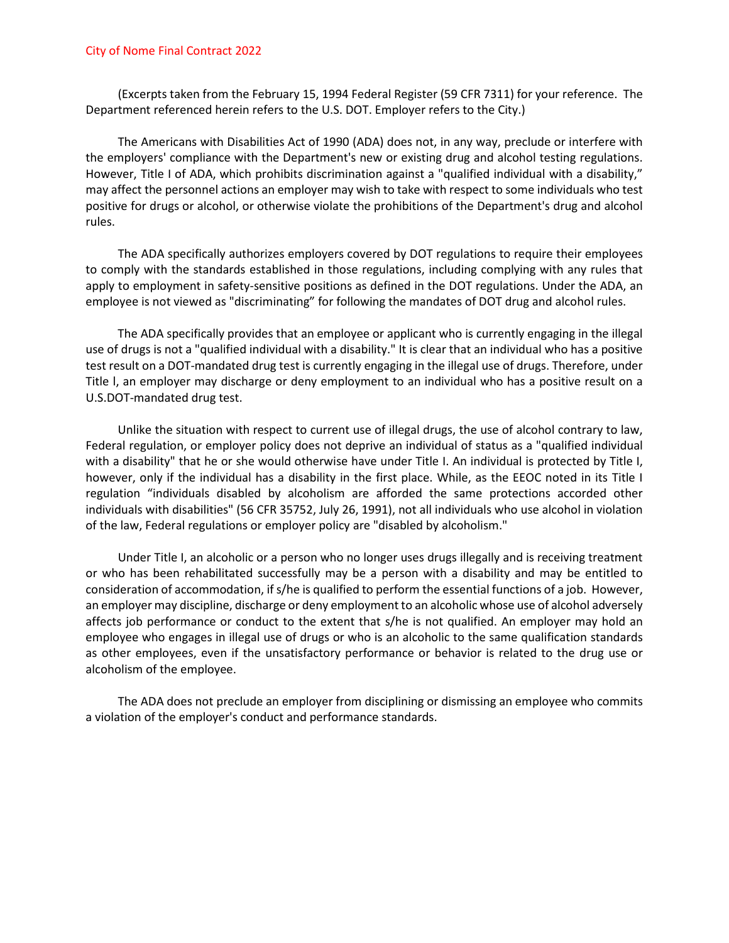(Excerpts taken from the February 15, 1994 Federal Register (59 CFR 7311) for your reference. The Department referenced herein refers to the U.S. DOT. Employer refers to the City.)

The Americans with Disabilities Act of 1990 (ADA) does not, in any way, preclude or interfere with the employers' compliance with the Department's new or existing drug and alcohol testing regulations. However, Title I of ADA, which prohibits discrimination against a "qualified individual with a disability," may affect the personnel actions an employer may wish to take with respect to some individuals who test positive for drugs or alcohol, or otherwise violate the prohibitions of the Department's drug and alcohol rules.

The ADA specifically authorizes employers covered by DOT regulations to require their employees to comply with the standards established in those regulations, including complying with any rules that apply to employment in safety-sensitive positions as defined in the DOT regulations. Under the ADA, an employee is not viewed as "discriminating" for following the mandates of DOT drug and alcohol rules.

The ADA specifically provides that an employee or applicant who is currently engaging in the illegal use of drugs is not a "qualified individual with a disability." It is clear that an individual who has a positive test result on a DOT-mandated drug test is currently engaging in the illegal use of drugs. Therefore, under Title l, an employer may discharge or deny employment to an individual who has a positive result on a U.S.DOT-mandated drug test.

Unlike the situation with respect to current use of illegal drugs, the use of alcohol contrary to law, Federal regulation, or employer policy does not deprive an individual of status as a "qualified individual with a disability" that he or she would otherwise have under Title I. An individual is protected by Title I, however, only if the individual has a disability in the first place. While, as the EEOC noted in its Title I regulation "individuals disabled by alcoholism are afforded the same protections accorded other individuals with disabilities" (56 CFR 35752, July 26, 1991), not all individuals who use alcohol in violation of the law, Federal regulations or employer policy are "disabled by alcoholism."

Under Title I, an alcoholic or a person who no longer uses drugs illegally and is receiving treatment or who has been rehabilitated successfully may be a person with a disability and may be entitled to consideration of accommodation, if s/he is qualified to perform the essential functions of a job. However, an employer may discipline, discharge or deny employment to an alcoholic whose use of alcohol adversely affects job performance or conduct to the extent that s/he is not qualified. An employer may hold an employee who engages in illegal use of drugs or who is an alcoholic to the same qualification standards as other employees, even if the unsatisfactory performance or behavior is related to the drug use or alcoholism of the employee.

The ADA does not preclude an employer from disciplining or dismissing an employee who commits a violation of the employer's conduct and performance standards.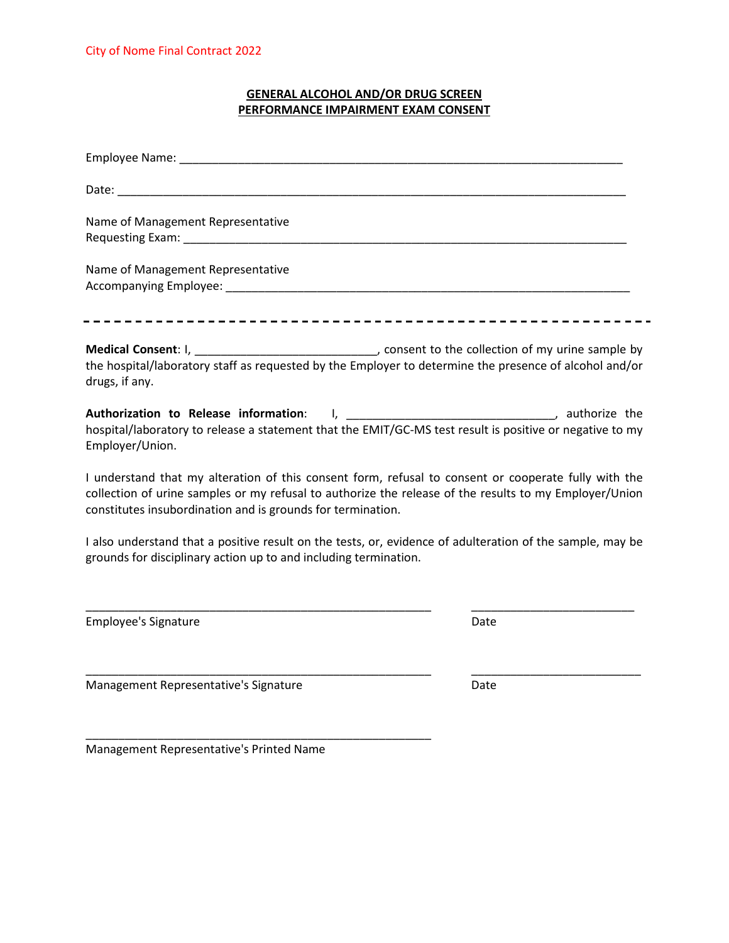## **GENERAL ALCOHOL AND/OR DRUG SCREEN PERFORMANCE IMPAIRMENT EXAM CONSENT**

| Name of Management Representative                                                                                                                                                                                                                                             |
|-------------------------------------------------------------------------------------------------------------------------------------------------------------------------------------------------------------------------------------------------------------------------------|
| Name of Management Representative                                                                                                                                                                                                                                             |
| Medical Consent: I, __________________________________, consent to the collection of my urine sample by<br>the hospital/laboratory staff as requested by the Employer to determine the presence of alcohol and/or<br>drugs, if any.                                           |
| Authorization to Release information: 1, _________________________________, authorize the<br>hospital/laboratory to release a statement that the EMIT/GC-MS test result is positive or negative to my<br>Employer/Union.                                                      |
| I understand that my alteration of this consent form, refusal to consent or cooperate fully with the<br>collection of urine samples or my refusal to authorize the release of the results to my Employer/Union<br>constitutes insubordination and is grounds for termination. |
| I also understand that a positive result on the tests, or, evidence of adulteration of the sample, may be<br>grounds for disciplinary action up to and including termination.                                                                                                 |
|                                                                                                                                                                                                                                                                               |

\_\_\_\_\_\_\_\_\_\_\_\_\_\_\_\_\_\_\_\_\_\_\_\_\_\_\_\_\_\_\_\_\_\_\_\_\_\_\_\_\_\_\_\_\_\_\_\_\_\_\_\_\_ \_\_\_\_\_\_\_\_\_\_\_\_\_\_\_\_\_\_\_\_\_\_\_\_\_\_

Employee's Signature **Date** Date Date Date

Management Representative's Signature **Date** Date

Management Representative's Printed Name

\_\_\_\_\_\_\_\_\_\_\_\_\_\_\_\_\_\_\_\_\_\_\_\_\_\_\_\_\_\_\_\_\_\_\_\_\_\_\_\_\_\_\_\_\_\_\_\_\_\_\_\_\_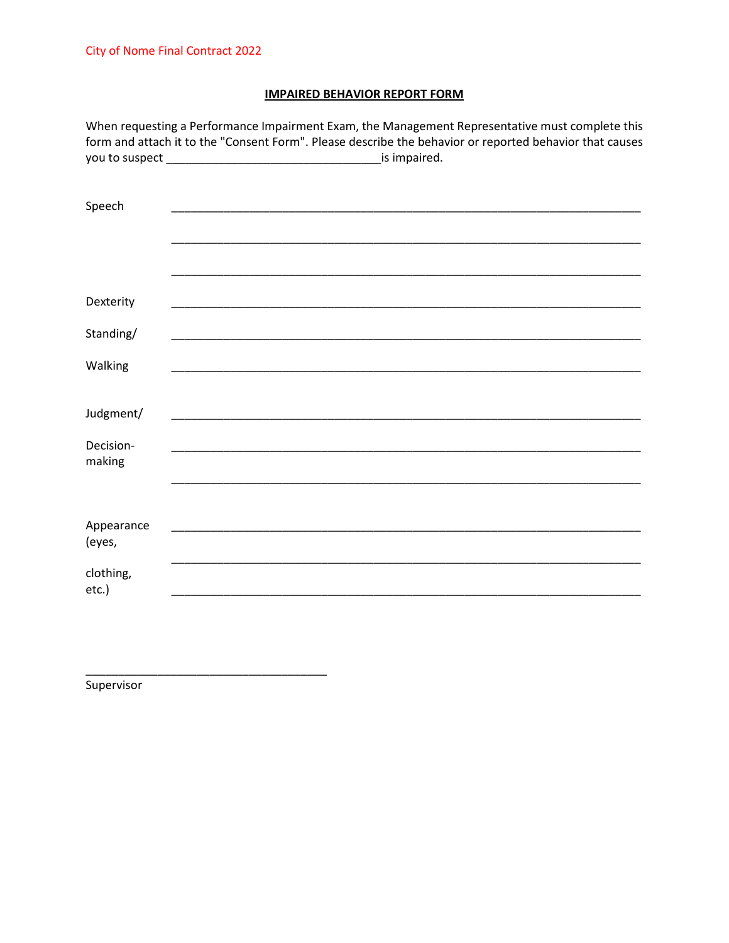# **IMPAIRED BEHAVIOR REPORT FORM**

|            | When requesting a Performance Impairment Exam, the Management Representative must complete this<br>form and attach it to the "Consent Form". Please describe the behavior or reported behavior that causes |
|------------|------------------------------------------------------------------------------------------------------------------------------------------------------------------------------------------------------------|
|            |                                                                                                                                                                                                            |
|            |                                                                                                                                                                                                            |
| Speech     |                                                                                                                                                                                                            |
|            |                                                                                                                                                                                                            |
|            |                                                                                                                                                                                                            |
|            |                                                                                                                                                                                                            |
| Dexterity  |                                                                                                                                                                                                            |
| Standing/  |                                                                                                                                                                                                            |
|            |                                                                                                                                                                                                            |
| Walking    | <u> 1989 - Jan James Sand, Amerikaansk politiker († 1908)</u>                                                                                                                                              |
|            |                                                                                                                                                                                                            |
| Judgment/  |                                                                                                                                                                                                            |
| Decision-  |                                                                                                                                                                                                            |
| making     |                                                                                                                                                                                                            |
|            |                                                                                                                                                                                                            |
| Appearance |                                                                                                                                                                                                            |
| (eyes,     |                                                                                                                                                                                                            |
| clothing,  |                                                                                                                                                                                                            |
| $etc.$ )   |                                                                                                                                                                                                            |

Supervisor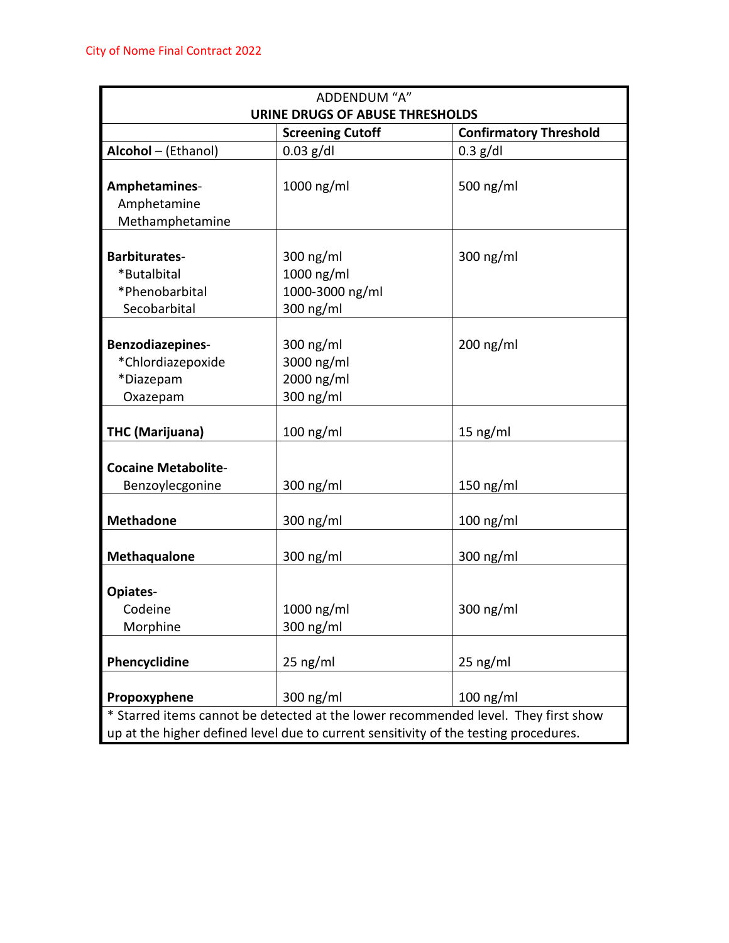| ADDENDUM "A"               |                                                                                      |                                                                                    |  |  |
|----------------------------|--------------------------------------------------------------------------------------|------------------------------------------------------------------------------------|--|--|
|                            | <b>URINE DRUGS OF ABUSE THRESHOLDS</b>                                               |                                                                                    |  |  |
|                            | <b>Screening Cutoff</b>                                                              | <b>Confirmatory Threshold</b>                                                      |  |  |
| Alcohol - (Ethanol)        | $0.03$ g/dl                                                                          | $0.3$ g/dl                                                                         |  |  |
|                            |                                                                                      |                                                                                    |  |  |
| Amphetamines-              | 1000 ng/ml                                                                           | 500 ng/ml                                                                          |  |  |
| Amphetamine                |                                                                                      |                                                                                    |  |  |
| Methamphetamine            |                                                                                      |                                                                                    |  |  |
| <b>Barbiturates-</b>       | 300 $ng/ml$                                                                          | 300 $ng/ml$                                                                        |  |  |
| *Butalbital                | 1000 ng/ml                                                                           |                                                                                    |  |  |
| *Phenobarbital             | 1000-3000 ng/ml                                                                      |                                                                                    |  |  |
| Secobarbital               | 300 ng/ml                                                                            |                                                                                    |  |  |
|                            |                                                                                      |                                                                                    |  |  |
| Benzodiazepines-           | 300 $ng/ml$                                                                          | $200$ ng/ml                                                                        |  |  |
| *Chlordiazepoxide          | 3000 ng/ml                                                                           |                                                                                    |  |  |
| *Diazepam                  | 2000 ng/ml                                                                           |                                                                                    |  |  |
| Oxazepam                   | 300 ng/ml                                                                            |                                                                                    |  |  |
|                            |                                                                                      |                                                                                    |  |  |
| <b>THC (Marijuana)</b>     | 100 ng/ml                                                                            | $15$ ng/ml                                                                         |  |  |
|                            |                                                                                      |                                                                                    |  |  |
| <b>Cocaine Metabolite-</b> |                                                                                      |                                                                                    |  |  |
| Benzoylecgonine            | 300 ng/ml                                                                            | $150$ ng/ml                                                                        |  |  |
| <b>Methadone</b>           | 300 $ng/ml$                                                                          | $100$ ng/ml                                                                        |  |  |
|                            |                                                                                      |                                                                                    |  |  |
| <b>Methaqualone</b>        | 300 ng/ml                                                                            | 300 ng/ml                                                                          |  |  |
|                            |                                                                                      |                                                                                    |  |  |
| Opiates-                   |                                                                                      |                                                                                    |  |  |
| Codeine                    | 1000 ng/ml                                                                           | 300 $ng/ml$                                                                        |  |  |
| Morphine                   | 300 ng/ml                                                                            |                                                                                    |  |  |
| Phencyclidine              | $25$ ng/ml                                                                           | $25$ ng/ml                                                                         |  |  |
|                            |                                                                                      |                                                                                    |  |  |
| Propoxyphene               | 300 ng/ml                                                                            | $100$ ng/ml                                                                        |  |  |
|                            |                                                                                      | * Starred items cannot be detected at the lower recommended level. They first show |  |  |
|                            | up at the higher defined level due to current sensitivity of the testing procedures. |                                                                                    |  |  |